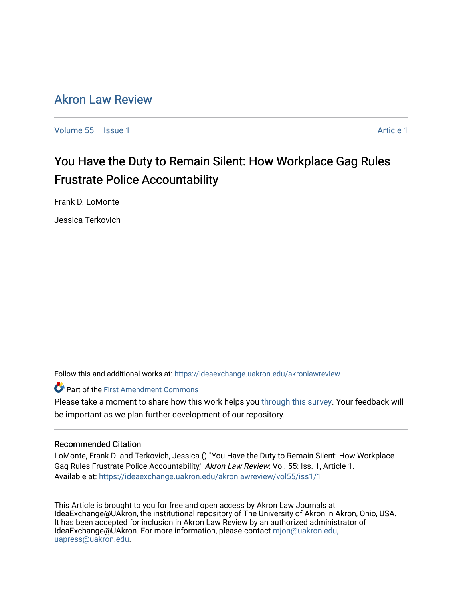# [Akron Law Review](https://ideaexchange.uakron.edu/akronlawreview)

[Volume 55](https://ideaexchange.uakron.edu/akronlawreview/vol55) | [Issue 1](https://ideaexchange.uakron.edu/akronlawreview/vol55/iss1) [Article 1](https://ideaexchange.uakron.edu/akronlawreview/vol55/iss1/1) Article 1 Article 1 Article 1 Article 1 Article 1 Article 1 Article 1

# You Have the Duty to Remain Silent: How Workplace Gag Rules Frustrate Police Accountability

Frank D. LoMonte

Jessica Terkovich

Follow this and additional works at: [https://ideaexchange.uakron.edu/akronlawreview](https://ideaexchange.uakron.edu/akronlawreview?utm_source=ideaexchange.uakron.edu%2Fakronlawreview%2Fvol55%2Fiss1%2F1&utm_medium=PDF&utm_campaign=PDFCoverPages)

Part of the [First Amendment Commons](http://network.bepress.com/hgg/discipline/1115?utm_source=ideaexchange.uakron.edu%2Fakronlawreview%2Fvol55%2Fiss1%2F1&utm_medium=PDF&utm_campaign=PDFCoverPages) 

Please take a moment to share how this work helps you [through this survey](http://survey.az1.qualtrics.com/SE/?SID=SV_eEVH54oiCbOw05f&URL=https://ideaexchange.uakron.edu/akronlawreview/vol55/iss1/1). Your feedback will be important as we plan further development of our repository.

# Recommended Citation

LoMonte, Frank D. and Terkovich, Jessica () "You Have the Duty to Remain Silent: How Workplace Gag Rules Frustrate Police Accountability," Akron Law Review: Vol. 55: Iss. 1, Article 1. Available at: [https://ideaexchange.uakron.edu/akronlawreview/vol55/iss1/1](https://ideaexchange.uakron.edu/akronlawreview/vol55/iss1/1?utm_source=ideaexchange.uakron.edu%2Fakronlawreview%2Fvol55%2Fiss1%2F1&utm_medium=PDF&utm_campaign=PDFCoverPages) 

This Article is brought to you for free and open access by Akron Law Journals at IdeaExchange@UAkron, the institutional repository of The University of Akron in Akron, Ohio, USA. It has been accepted for inclusion in Akron Law Review by an authorized administrator of IdeaExchange@UAkron. For more information, please contact [mjon@uakron.edu,](mailto:mjon@uakron.edu,%20uapress@uakron.edu) [uapress@uakron.edu.](mailto:mjon@uakron.edu,%20uapress@uakron.edu)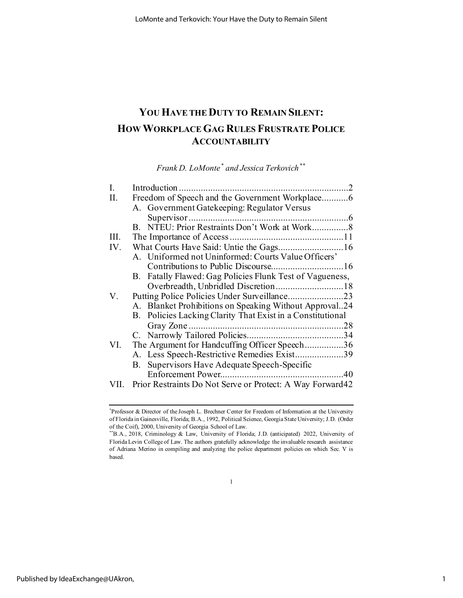# **YOU HAVE THE DUTY TO REMAIN SILENT: HOW WORKPLACE GAG RULES FRUSTRATE POLICE ACCOUNTABILITY**

*Frank D. LoMonte[\\*](#page-1-0) and Jessica Terkovich[\\*\\*](#page-1-1)*

| I.  |                                                            |    |
|-----|------------------------------------------------------------|----|
| П.  | Freedom of Speech and the Government Workplace6            |    |
|     | A. Government Gatekeeping: Regulator Versus                |    |
|     |                                                            |    |
|     |                                                            |    |
| Ш.  |                                                            |    |
| IV. |                                                            |    |
|     | A. Uniformed not Uninformed: Courts Value Officers'        |    |
|     |                                                            |    |
|     | B. Fatally Flawed: Gag Policies Flunk Test of Vagueness,   |    |
|     |                                                            |    |
| V.  |                                                            |    |
|     | A. Blanket Prohibitions on Speaking Without Approval24     |    |
|     | B. Policies Lacking Clarity That Exist in a Constitutional |    |
|     |                                                            | 28 |
|     |                                                            |    |
| VI. | The Argument for Handcuffing Officer Speech36              |    |
|     | A. Less Speech-Restrictive Remedies Exist39                |    |
|     | B. Supervisors Have Adequate Speech-Specific               |    |
|     |                                                            |    |
|     | Prior Restraints Do Not Serve or Protect: A Way Forward42  |    |
|     |                                                            |    |

1

<span id="page-1-0"></span><sup>\*</sup> Professor & Director of the Joseph L. Brechner Center for Freedom of Information at the University of Florida in Gainesville, Florida; B.A., 1992, Political Science, Georgia State University; J.D. (Order of the Coif), 2000, University of Georgia School of Law.

<span id="page-1-1"></span><sup>\*\*</sup>B.A., 2018, Criminology & Law, University of Florida; J.D. (anticipated) 2022, University of Florida Levin College of Law. The authors gratefully acknowledge the invaluable research assistance of Adriana Merino in compiling and analyzing the police department policies on which Sec. V is based.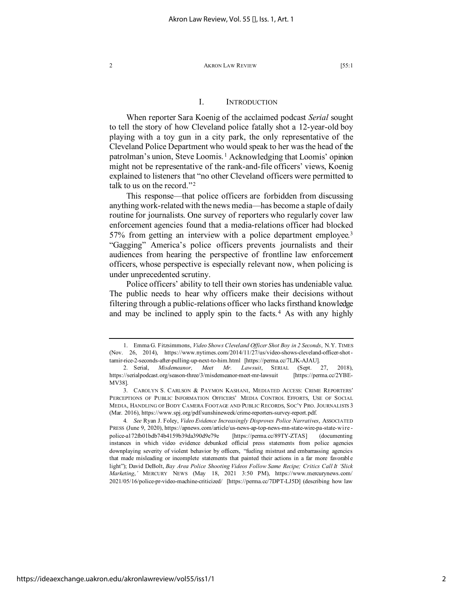# I. INTRODUCTION

When reporter Sara Koenig of the acclaimed podcast *Serial* sought to tell the story of how Cleveland police fatally shot a 12-year-old boy playing with a toy gun in a city park, the only representative of the Cleveland Police Department who would speak to her was the head of the patrolman's union, Steve Loomis. [1](#page-2-0) Acknowledging that Loomis' opinion might not be representative of the rank-and-file officers' views, Koenig explained to listeners that "no other Cleveland officers were permitted to talk to us on the record."[2](#page-2-1)

This response—that police officers are forbidden from discussing anything work-related with the news media—has become a staple of daily routine for journalists. One survey of reporters who regularly cover law enforcement agencies found that a media-relations officer had blocked 57% from getting an interview with a police department employee.[3](#page-2-2) "Gagging" America's police officers prevents journalists and their audiences from hearing the perspective of frontline law enforcement officers, whose perspective is especially relevant now, when policing is under unprecedented scrutiny.

Police officers' ability to tell their own stories has undeniable value. The public needs to hear why officers make their decisions without filtering through a public-relations officer who lacks firsthand knowledge and may be inclined to apply spin to the facts. [4](#page-2-3) As with any highly

<span id="page-2-0"></span><sup>1.</sup> Emma G. Fitzsimmons, *Video Shows Cleveland Officer Shot Boy in 2 Seconds*, N.Y. TIMES (Nov. 26, 2014), https://www.nytimes.com/2014/11/27/us/video-shows-cleveland-officer-shottamir-rice-2-seconds-after-pulling-up-next-to-him.html [https://perma.cc/7LJK-AJAU].

<span id="page-2-1"></span><sup>2.</sup> Serial, *Misdemeanor, Meet Mr. Lawsuit*, SERIAL (Sept. 27, 2018), https://serialpodcast.org/season-three/3/misdemeanor-meet-mr-lawsuit [https://perma.cc/2YBE-MV38].

<span id="page-2-2"></span><sup>3.</sup> CAROLYN S. CARLSON & PAYMON KASHANI, MEDIATED ACCESS: CRIME REPORTERS' PERCEPTIONS OF PUBLIC INFORMATION OFFICERS' MEDIA CONTROL EFFORTS, USE OF SOCIAL MEDIA, HANDLING OF BODY CAMERA FOOTAGE AND PUBLIC RECORDS, SOC'Y PRO. JOURNALISTS 3 (Mar. 2016), https://www.spj.org/pdf/sunshineweek/crime-reporters-survey-report.pdf.

<span id="page-2-3"></span><sup>4</sup>*. See* Ryan J. Foley, *Video Evidence Increasingly Disproves Police Narratives*, ASSOCIATED PRESS (June 9, 2020), https://apnews.com/article/us-news-ap-top-news-mn-state-wire-pa-state-wire police-a172fb01bdb74b4159b39da390d9e79e [https://perma.cc/89TY-ZTAS] (documenting instances in which video evidence debunked official press statements from police agencies downplaying severity of violent behavior by officers, "fueling mistrust and embarrassing agencies that made misleading or incomplete statements that painted their actions in a far more favorable light"); David DeBolt, *Bay Area Police Shooting Videos Follow Same Recipe; Critics Call It 'Slick Marketing*,*'* MERCURY NEWS (May 18, 2021 3:50 PM), https://www.mercurynews.com/ 2021/05/16/police-pr-video-machine-criticized/ [https://perma.cc/7DPT-LJ5D] (describing how law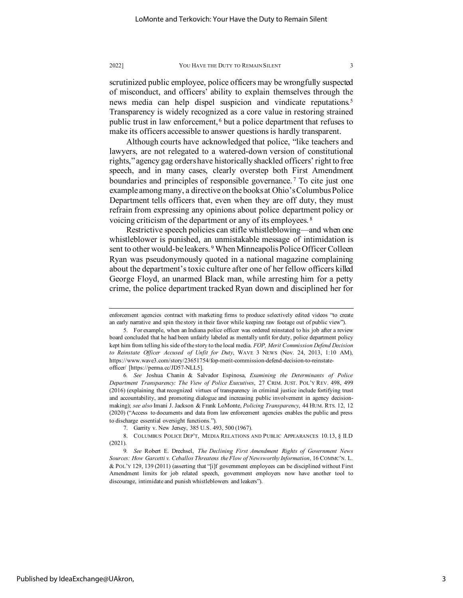scrutinized public employee, police officers may be wrongfully suspected of misconduct, and officers' ability to explain themselves through the news media can help dispel suspicion and vindicate reputations.<sup>[5](#page-3-0)</sup> Transparency is widely recognized as a core value in restoring strained public trust in law enforcement, [6](#page-3-1) but a police department that refuses to make its officers accessible to answer questions is hardly transparent.

Although courts have acknowledged that police, "like teachers and lawyers, are not relegated to a watered-down version of constitutional rights," agency gag orders have historically shackled officers' right to free speech, and in many cases, clearly overstep both First Amendment boundaries and principles of responsible governance.<sup>[7](#page-3-2)</sup> To cite just one example among many, a directive on the books at Ohio's Columbus Police Department tells officers that, even when they are off duty, they must refrain from expressing any opinions about police department policy or voicing criticism of the department or any of its employees.<sup>[8](#page-3-3)</sup>

Restrictive speech policies can stifle whistleblowing—and when one whistleblower is punished, an unmistakable message of intimidation is sent to other would-be leakers.<sup>[9](#page-3-4)</sup> When Minneapolis Police Officer Colleen Ryan was pseudonymously quoted in a national magazine complaining about the department's toxic culture after one of her fellow officers killed George Floyd, an unarmed Black man, while arresting him for a petty crime, the police department tracked Ryan down and disciplined her for

enforcement agencies contract with marketing firms to produce selectively edited videos "to create an early narrative and spin the story in their favor while keeping raw footage out of public view").

<span id="page-3-0"></span><sup>5.</sup> For example, when an Indiana police officer was ordered reinstated to his job after a review board concluded that he had been unfairly labeled as mentally unfit for duty, police department policy kept him from telling his side of the story to the local media. *FOP, Merit Commission Defend Decision to Reinstate Officer Accused of Unfit for Duty*, WAVE 3 NEWS (Nov. 24, 2013, 1:10 AM), https://www.wave3.com/story/23651754/fop-merit-commission-defend-decision-to-reinstateofficer/ [https://perma.cc/JD57-NLL5].

<span id="page-3-1"></span><sup>6</sup>*. See* Joshua Chanin & Salvador Espinosa, *Examining the Determinants of Police Department Transparency: The View of Police Executives*, 27 CRIM. JUST. POL'Y REV. 498, 499 (2016) (explaining that recognized virtues of transparency in criminal justice include fortifying trust and accountability, and promoting dialogue and increasing public involvement in agency decisionmaking); *see also* Imani J. Jackson & Frank LoMonte, *Policing Transparency*, 44 HUM. RTS. 12, 12 (2020) ("Access to documents and data from law enforcement agencies enables the public and press to discharge essential oversight functions.").

<sup>7.</sup> Garrity v. New Jersey, 385 U.S. 493, 500 (1967).

<span id="page-3-3"></span><span id="page-3-2"></span><sup>8.</sup> COLUMBUS POLICE DEP'T, MEDIA RELATIONS AND PUBLIC APPEARANCES 10.13, § II.D (2021).

<span id="page-3-4"></span><sup>9</sup>*. See* Robert E. Drechsel, *The Declining First Amendment Rights of Government News Sources: How Garcetti v. Ceballos Threatens the Flow of Newsworthy Information*, 16 COMMC'N. L. & POL'Y 129, 139 (2011) (asserting that "[i]f government employees can be disciplined without First Amendment limits for job related speech, government employers now have another tool to discourage, intimidate and punish whistleblowers and leakers").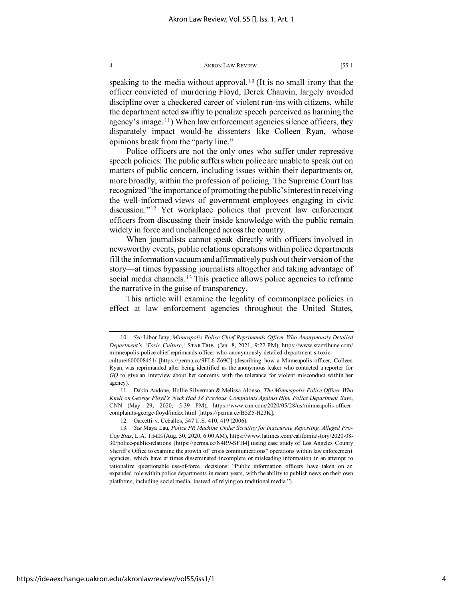speaking to the media without approval.<sup>[10](#page-4-0)</sup> (It is no small irony that the officer convicted of murdering Floyd, Derek Chauvin, largely avoided discipline over a checkered career of violent run-ins with citizens, while the department acted swiftly to penalize speech perceived as harming the agency's image. [11\)](#page-4-1) When law enforcement agencies silence officers, they disparately impact would-be dissenters like Colleen Ryan, whose opinions break from the "party line."

Police officers are not the only ones who suffer under repressive speech policies: The public suffers when police are unable to speak out on matters of public concern, including issues within their departments or, more broadly, within the profession of policing. The Supreme Court has recognized "the importance of promoting the public's interest in receiving the well-informed views of government employees engaging in civic discussion."[12](#page-4-2) Yet workplace policies that prevent law enforcement officers from discussing their inside knowledge with the public remain widely in force and unchallenged across the country.

When journalists cannot speak directly with officers involved in newsworthy events, public relations operations within police departments fill the information vacuum and affirmatively push out their version of the story—at times bypassing journalists altogether and taking advantage of social media channels.<sup>[13](#page-4-3)</sup> This practice allows police agencies to reframe the narrative in the guise of transparency.

This article will examine the legality of commonplace policies in effect at law enforcement agencies throughout the United States,

<span id="page-4-0"></span><sup>10</sup>*. See* Libor Jany, *Minneapolis Police Chief Reprimands Officer Who Anonymously Detailed Department's 'Toxic Culture*,*'* STAR TRIB. (Jan. 8, 2021, 9:22 PM), https://www.startribune.com/ minneapolis-police-chief-reprimands-officer-who-anonymously-detailed-department-s-toxic-

culture/600008451/ [https://perma.cc/9FL6-Z69C] (describing how a Minneapolis officer, Colleen Ryan, was reprimanded after being identified as the anonymous leaker who contacted a reporter for *GQ* to give an interview about her concerns with the tolerance for violent misconduct within her agency).

<span id="page-4-1"></span><sup>11.</sup> Dakin Andone, Hollie Silverman & Melissa Alonso, *The Minneapolis Police Officer Who Knelt on George Floyd's Neck Had 18 Previous Complaints Against Him, Police Department Says*, CNN (May 29, 2020, 5:39 PM), https://www.cnn.com/2020/05/28/us/minneapolis-officercomplaints-george-floyd/index.html [https://perma.cc/B5Z5-H23K].

<sup>12.</sup> Garcetti v. Ceballos, 547 U.S. 410, 419 (2006).

<span id="page-4-3"></span><span id="page-4-2"></span><sup>13</sup>*. See* Maya Lau, *Police PR Machine Under Scrutiny for Inaccurate Reporting, Alleged Pro-Cop Bias*, L.A. TIMES (Aug. 30, 2020, 6:00 AM), https://www.latimes.com/california/story/2020-08- 30/police-public-relations [https://perma.cc/N4R9-SFH4] (using case study of Los Angeles County Sheriff's Office to examine the growth of "crisis communications" operations within law enforcement agencies, which have at times disseminated incomplete or misleading information in an attempt to rationalize questionable use-of-force decisions: "Public information officers have taken on an expanded role within police departments in recent years, with the ability to publish news on their own platforms, including social media, instead of relying on traditional media.").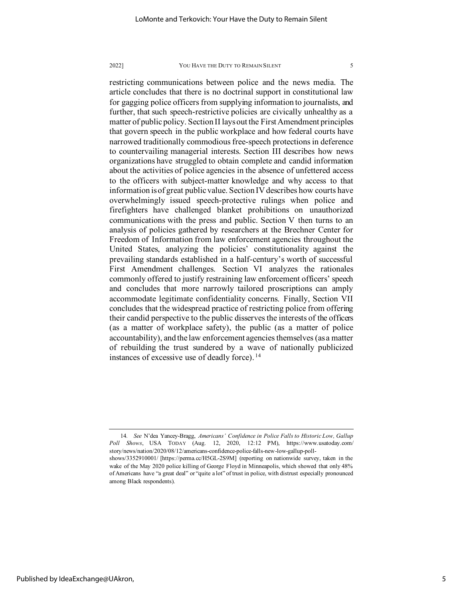restricting communications between police and the news media. The article concludes that there is no doctrinal support in constitutional law for gagging police officers from supplying information to journalists, and further, that such speech-restrictive policies are civically unhealthy as a matter of public policy. Section II lays out the First Amendment principles that govern speech in the public workplace and how federal courts have narrowed traditionally commodious free-speech protections in deference to countervailing managerial interests. Section III describes how news organizations have struggled to obtain complete and candid information about the activities of police agencies in the absence of unfettered access to the officers with subject-matter knowledge and why access to that information is of great public value. Section IV describes how courts have overwhelmingly issued speech-protective rulings when police and firefighters have challenged blanket prohibitions on unauthorized communications with the press and public. Section V then turns to an analysis of policies gathered by researchers at the Brechner Center for Freedom of Information from law enforcement agencies throughout the United States, analyzing the policies' constitutionality against the prevailing standards established in a half-century's worth of successful First Amendment challenges. Section VI analyzes the rationales commonly offered to justify restraining law enforcement officers' speech and concludes that more narrowly tailored proscriptions can amply accommodate legitimate confidentiality concerns. Finally, Section VII concludes that the widespread practice of restricting police from offering their candid perspective to the public disserves the interests of the officers (as a matter of workplace safety), the public (as a matter of police accountability), and the law enforcement agencies themselves (as a matter of rebuilding the trust sundered by a wave of nationally publicized instances of excessive use of deadly force). [14](#page-5-0)

<span id="page-5-0"></span><sup>14</sup>*. See* N'dea Yancey-Bragg, *Americans' Confidence in Police Falls to Historic Low, Gallup Poll Shows*, USA TODAY (Aug. 12, 2020, 12:12 PM), https://www.usatoday.com/ story/news/nation/2020/08/12/americans-confidence-police-falls-new-low-gallup-poll-

shows/3352910001/ [https://perma.cc/H5GL-2S9M] (reporting on nationwide survey, taken in the wake of the May 2020 police killing of George Floyd in Minneapolis, which showed that only 48% of Americans have "a great deal" or "quite a lot" of trust in police, with distrust especially pronounced among Black respondents).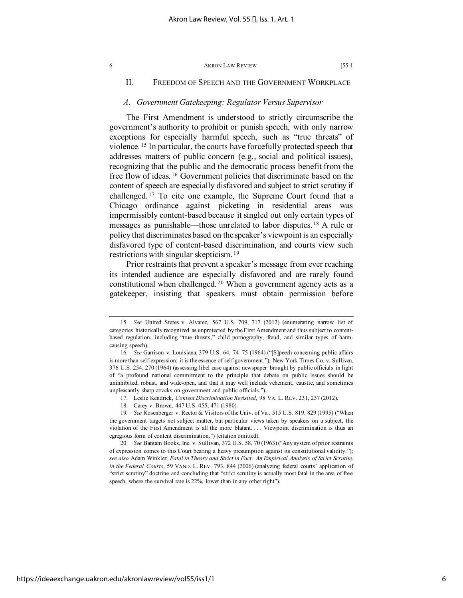# II. FREEDOM OF SPEECH AND THE GOVERNMENT WORKPLACE

# *A. Government Gatekeeping: Regulator Versus Supervisor*

The First Amendment is understood to strictly circumscribe the government's authority to prohibit or punish speech, with only narrow exceptions for especially harmful speech, such as "true threats" of violence. [15](#page-6-0) In particular, the courts have forcefully protected speech that addresses matters of public concern (e.g., social and political issues), recognizing that the public and the democratic process benefit from the free flow of ideas. [16](#page-6-1) Government policies that discriminate based on the content of speech are especially disfavored and subject to strict scrutiny if challenged. [17](#page-6-2) To cite one example, the Supreme Court found that a Chicago ordinance against picketing in residential areas was impermissibly content-based because it singled out only certain types of messages as punishable—those unrelated to labor disputes. [18](#page-6-3) A rule or policy that discriminates based on the speaker's viewpoint is an especially disfavored type of content-based discrimination, and courts view such restrictions with singular skepticism. [19](#page-6-4)

Prior restraints that prevent a speaker's message from ever reaching its intended audience are especially disfavored and are rarely found constitutional when challenged. [20](#page-6-5) When a government agency acts as a gatekeeper, insisting that speakers must obtain permission before

<span id="page-6-0"></span><sup>15</sup>*. See* United States v. Alvarez, 567 U.S. 709, 717 (2012) (enumerating narrow list of categories historically recognized as unprotected by the First Amendment and thus subject to contentbased regulation, including "true threats," child pornography, fraud, and similar types of harmcausing speech).

<span id="page-6-1"></span><sup>16</sup>*. See* Garrison v. Louisiana, 379 U.S. 64, 74–75 (1964) ("[S]peech concerning public affairs is more than self-expression; it is the essence of self-government."); New York Times Co. v. Sullivan, 376 U.S. 254, 270 (1964) (assessing libel case against newspaper brought by public officials in light of "a profound national commitment to the principle that debate on public issues should be uninhibited, robust, and wide-open, and that it may well include vehement, caustic, and sometimes unpleasantly sharp attacks on government and public officials.").

<sup>17.</sup> Leslie Kendrick, *Content Discrimination Revisited*, 98 VA. L. REV. 231, 237 (2012).

<sup>18.</sup> Carey v. Brown, 447 U.S. 455, 471 (1980).

<span id="page-6-4"></span><span id="page-6-3"></span><span id="page-6-2"></span><sup>19</sup>*. See* Rosenberger v. Rector & Visitors of the Univ. of Va., 515 U.S. 819, 829 (1995) ("When the government targets not subject matter, but particular views taken by speakers on a subject, the violation of the First Amendment is all the more blatant. . . . Viewpoint discrimination is thus an egregious form of content discrimination.") (citation omitted).

<span id="page-6-5"></span><sup>20</sup>*. See* Bantam Books, Inc. v. Sullivan, 372 U.S. 58, 70 (1963) ("Any system of prior restraints of expression comes to this Court bearing a heavy presumption against its constitutional validity."); *see also* Adam Winkler, *Fatal in Theory and Strict in Fact: An Empirical Analysis of Strict Scrutiny in the Federal Courts*, 59 VAND. L. REV. 793, 844 (2006) (analyzing federal courts' application of "strict scrutiny" doctrine and concluding that "strict scrutiny is actually most fatal in the area of free speech, where the survival rate is 22%, lower than in any other right").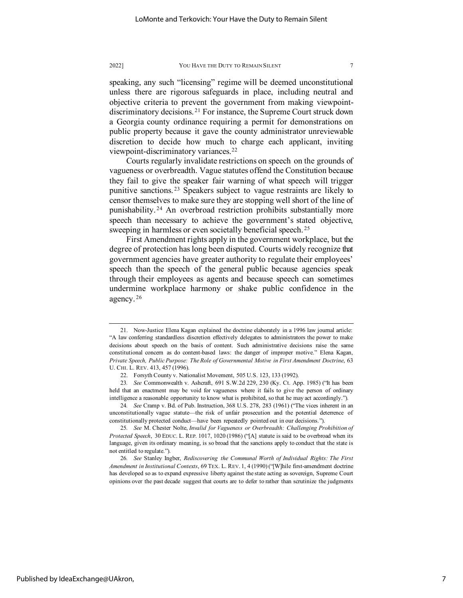speaking, any such "licensing" regime will be deemed unconstitutional unless there are rigorous safeguards in place, including neutral and objective criteria to prevent the government from making viewpointdiscriminatory decisions. [21](#page-7-0) For instance, the Supreme Court struck down a Georgia county ordinance requiring a permit for demonstrations on public property because it gave the county administrator unreviewable discretion to decide how much to charge each applicant, inviting viewpoint-discriminatory variances[.22](#page-7-1)

Courts regularly invalidate restrictions on speech on the grounds of vagueness or overbreadth. Vague statutes offend the Constitution because they fail to give the speaker fair warning of what speech will trigger punitive sanctions. [23](#page-7-2) Speakers subject to vague restraints are likely to censor themselves to make sure they are stopping well short of the line of punishability. [24](#page-7-3) An overbroad restriction prohibits substantially more speech than necessary to achieve the government's stated objective, sweeping in harmless or even societally beneficial speech.<sup>[25](#page-7-4)</sup>

First Amendment rights apply in the government workplace, but the degree of protection has long been disputed. Courts widely recognize that government agencies have greater authority to regulate their employees' speech than the speech of the general public because agencies speak through their employees as agents and because speech can sometimes undermine workplace harmony or shake public confidence in the agency. [26](#page-7-5)

<span id="page-7-0"></span><sup>21.</sup> Now-Justice Elena Kagan explained the doctrine elaborately in a 1996 law journal article: "A law conferring standardless discretion effectively delegates to administrators the power to make decisions about speech on the basis of content. Such administrative decisions raise the same constitutional concern as do content-based laws: the danger of improper motive." Elena Kagan, *Private Speech, Public Purpose: The Role of Governmental Motive in First Amendment Doctrine*, 63 U. CHI. L. REV. 413, 457 (1996).

<sup>22.</sup> Forsyth County v. Nationalist Movement, 505 U.S. 123, 133 (1992).

<span id="page-7-2"></span><span id="page-7-1"></span><sup>23</sup>*. See* Commonwealth v. Ashcraft, 691 S.W.2d 229, 230 (Ky. Ct. App. 1985) ("It has been held that an enactment may be void for vagueness where it fails to give the person of ordinary intelligence a reasonable opportunity to know what is prohibited, so that he may act accordingly.").

<span id="page-7-3"></span><sup>24</sup>*. See* Cramp v. Bd. of Pub. Instruction, 368 U.S. 278, 283 (1961) ("The vices inherent in an unconstitutionally vague statute—the risk of unfair prosecution and the potential deterrence of constitutionally protected conduct—have been repeatedly pointed out in our decisions.").

<span id="page-7-4"></span><sup>25</sup>*. See* M. Chester Nolte, *Invalid for Vagueness or Overbreadth: Challenging Prohibition of Protected Speech*, 30 EDUC. L. REP. 1017, 1020 (1986) ("[A] statute is said to be overbroad when its language, given its ordinary meaning, is so broad that the sanctions apply to conduct that the state is not entitled to regulate.").

<span id="page-7-5"></span><sup>26</sup>*. See* Stanley Ingber, *Rediscovering the Communal Worth of Individual Rights: The First Amendment in Institutional Contexts*, 69 TEX. L. REV. 1, 4 (1990) ("[W]hile first-amendment doctrine has developed so as to expand expressive liberty against the state acting as sovereign, Supreme Court opinions over the past decade suggest that courts are to defer to rather than scrutinize the judgments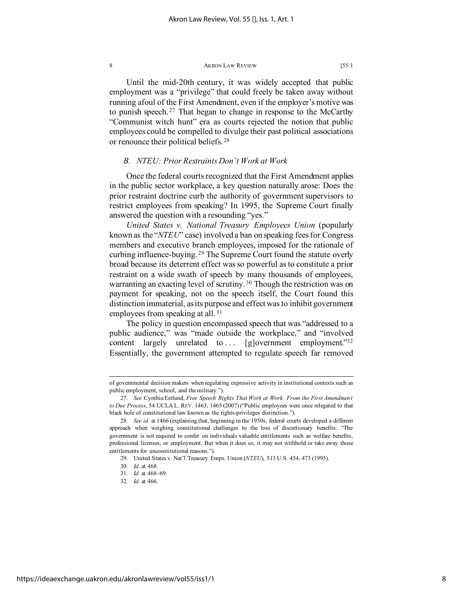Until the mid-20th century, it was widely accepted that public employment was a "privilege" that could freely be taken away without running afoul of the First Amendment, even if the employer's motive was to punish speech. [27](#page-8-0) That began to change in response to the McCarthy "Communist witch hunt" era as courts rejected the notion that public employees could be compelled to divulge their past political associations or renounce their political beliefs. [28](#page-8-1)

# *B. NTEU: Prior Restraints Don't Work at Work*

Once the federal courts recognized that the First Amendment applies in the public sector workplace, a key question naturally arose: Does the prior restraint doctrine curb the authority of government supervisors to restrict employees from speaking? In 1995, the Supreme Court finally answered the question with a resounding "yes."

*United States v. National Treasury Employees Union* (popularly known as the "*NTEU*" case) involved a ban on speaking fees for Congress members and executive branch employees, imposed for the rationale of curbing influence-buying. [29](#page-8-2) The Supreme Court found the statute overly broad because its deterrent effect was so powerful as to constitute a prior restraint on a wide swath of speech by many thousands of employees, warranting an exacting level of scrutiny. [30](#page-8-3) Though the restriction was on payment for speaking, not on the speech itself, the Court found this distinction immaterial, as its purpose and effect was to inhibit government employees from speaking at all.<sup>[31](#page-8-4)</sup>

The policy in question encompassed speech that was "addressed to a public audience," was "made outside the workplace," and "involved content largely unrelated to  $\ldots$  [g]overnment employment.["32](#page-8-5) Essentially, the government attempted to regulate speech far removed

of governmental decision makers when regulating expressive activity in institutional contexts such as public employment, school, and the military.").

<span id="page-8-0"></span><sup>27</sup>*. See* Cynthia Estlund, *Free Speech Rights That Work at Work: From the First Amendment to Due Process*, 54 UCLA L. REV. 1463, 1465 (2007) ("Public employees were once relegated to that black hole of constitutional law known as the rights-privileges distinction.").

<span id="page-8-3"></span><span id="page-8-2"></span><span id="page-8-1"></span><sup>28</sup>*. See id.* at 1466 (explaining that, beginning in the 1950s, federal courts developed a different approach when weighing constitutional challenges to the loss of discretionary benefits: "The government is not required to confer on individuals valuable entitlements such as welfare benefits, professional licenses, or employment. But when it does so, it may not withhold or take away those entitlements for unconstitutional reasons.").

<sup>29.</sup> United States v. Nat'l Treasury Emps. Union (*NTEU*), 513 U.S. 454, 473 (1995).

<sup>30</sup>*. Id.* at 468.

<span id="page-8-4"></span><sup>31</sup>*. Id.* at 468–69.

<span id="page-8-5"></span><sup>32</sup>*. Id.* at 466.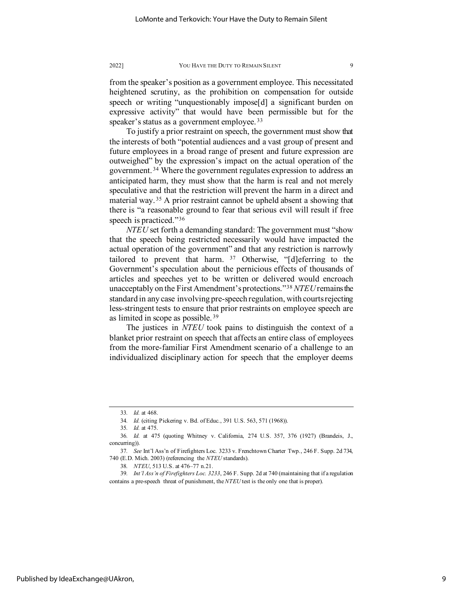from the speaker's position as a government employee. This necessitated heightened scrutiny, as the prohibition on compensation for outside speech or writing "unquestionably impose[d] a significant burden on expressive activity" that would have been permissible but for the speaker's status as a government employee.<sup>[33](#page-9-0)</sup>

To justify a prior restraint on speech, the government must show that the interests of both "potential audiences and a vast group of present and future employees in a broad range of present and future expression are outweighed" by the expression's impact on the actual operation of the government. [34](#page-9-1) Where the government regulates expression to address an anticipated harm, they must show that the harm is real and not merely speculative and that the restriction will prevent the harm in a direct and material way. [35](#page-9-2) A prior restraint cannot be upheld absent a showing that there is "a reasonable ground to fear that serious evil will result if free speech is practiced."[36](#page-9-3)

*NTEU* set forth a demanding standard: The government must "show that the speech being restricted necessarily would have impacted the actual operation of the government" and that any restriction is narrowly tailored to prevent that harm.  $37$  Otherwise, "[d]eferring to the Government's speculation about the pernicious effects of thousands of articles and speeches yet to be written or delivered would encroach unacceptably on the First Amendment's protections."[38](#page-9-5) *NTEU*remains the standard in any case involving pre-speech regulation, with courts rejecting less-stringent tests to ensure that prior restraints on employee speech are as limited in scope as possible. [39](#page-9-6)

The justices in *NTEU* took pains to distinguish the context of a blanket prior restraint on speech that affects an entire class of employees from the more-familiar First Amendment scenario of a challenge to an individualized disciplinary action for speech that the employer deems

<sup>33</sup>*. Id.* at 468.

<sup>34</sup>*. Id.* (citing Pickering v. Bd. of Educ., 391 U.S. 563, 571 (1968)).

<sup>35</sup>*. Id.* at 475.

<span id="page-9-3"></span><span id="page-9-2"></span><span id="page-9-1"></span><span id="page-9-0"></span><sup>36</sup>*. Id.* at 475 (quoting Whitney v. California, 274 U.S. 357, 376 (1927) (Brandeis, J., concurring)).

<span id="page-9-4"></span><sup>37</sup>*. See* Int'l Ass'n of Firefighters Loc. 3233 v. Frenchtown Charter Twp., 246 F. Supp. 2d 734, 740 (E.D. Mich. 2003) (referencing the *NTEU* standards).

<sup>38</sup>*. NTEU*, 513 U.S. at 476–77 n.21.

<span id="page-9-6"></span><span id="page-9-5"></span><sup>39</sup>*. Int'l Ass'n of Firefighters Loc. 3233*, 246 F. Supp. 2d at 740 (maintaining that if a regulation contains a pre-speech threat of punishment, the *NTEU* test is the only one that is proper).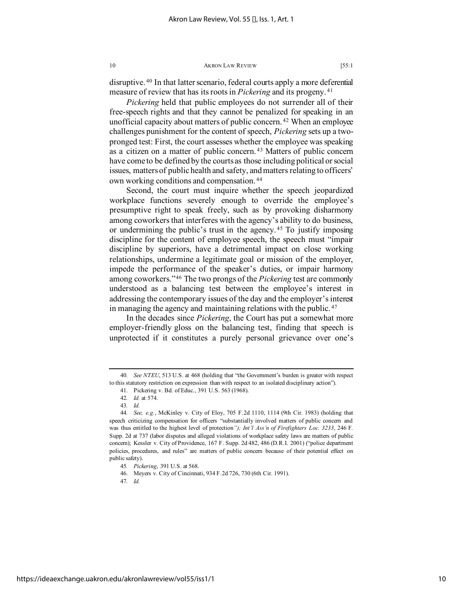disruptive. [40](#page-10-0) In that latter scenario, federal courts apply a more deferential measure of review that has its roots in *Pickering* and its progeny. [41](#page-10-1)

*Pickering* held that public employees do not surrender all of their free-speech rights and that they cannot be penalized for speaking in an unofficial capacity about matters of public concern.<sup>[42](#page-10-2)</sup> When an employee challenges punishment for the content of speech, *Pickering* sets up a twopronged test: First, the court assesses whether the employee was speaking as a citizen on a matter of public concern. [43](#page-10-3) Matters of public concern have come to be defined by the courts as those including political or social issues, matters of public health and safety, and matters relating to officers' own working conditions and compensation. [44](#page-10-4)

Second, the court must inquire whether the speech jeopardized workplace functions severely enough to override the employee's presumptive right to speak freely, such as by provoking disharmony among coworkers that interferes with the agency's ability to do business, or undermining the public's trust in the agency. [45](#page-10-5) To justify imposing discipline for the content of employee speech, the speech must "impair discipline by superiors, have a detrimental impact on close working relationships, undermine a legitimate goal or mission of the employer, impede the performance of the speaker's duties, or impair harmony among coworkers."[46](#page-10-6) The two prongs of the *Pickering* test are commonly understood as a balancing test between the employee's interest in addressing the contemporary issues of the day and the employer's interest in managing the agency and maintaining relations with the public. [47](#page-10-7)

In the decades since *Pickering*, the Court has put a somewhat more employer-friendly gloss on the balancing test, finding that speech is unprotected if it constitutes a purely personal grievance over one's

<span id="page-10-1"></span><span id="page-10-0"></span><sup>40</sup>*. See NTEU*, 513 U.S. at 468 (holding that "the Government's burden is greater with respect to this statutory restriction on expression than with respect to an isolated disciplinary action").

<sup>41.</sup> Pickering v. Bd. of Educ., 391 U.S. 563 (1968).

<sup>42</sup>*. Id.* at 574.

<sup>43</sup>*. Id.*

<span id="page-10-4"></span><span id="page-10-3"></span><span id="page-10-2"></span><sup>44</sup>*. See, e.g.*, McKinley v. City of Eloy, 705 F.2d 1110, 1114 (9th Cir. 1983) (holding that speech criticizing compensation for officers "substantially involved matters of public concern and was thus entitled to the highest level of protection*"); Int'l Ass'n of Firefighters Loc. 3233*, 246 F. Supp. 2d at 737 (labor disputes and alleged violations of workplace safety laws are matters of public concern); Kessler v. City of Providence, 167 F. Supp. 2d 482, 486 (D.R.I. 2001) ("police department policies, procedures, and rules" are matters of public concern because of their potential effect on public safety).

<sup>45</sup>*. Pickering*, 391 U.S. at 568.

<span id="page-10-7"></span><span id="page-10-6"></span><span id="page-10-5"></span><sup>46.</sup> Meyers v. City of Cincinnati, 934 F.2d 726, 730 (6th Cir. 1991).

<sup>47</sup>*. Id.*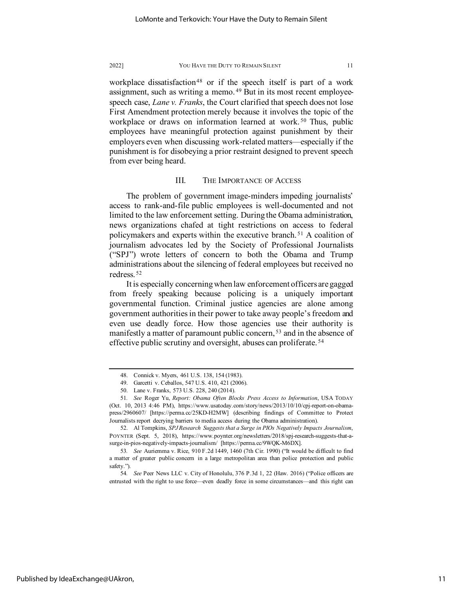workplace dissatisfaction<sup>[48](#page-11-0)</sup> or if the speech itself is part of a work assignment, such as writing a memo. [49](#page-11-1) But in its most recent employeespeech case, *Lane v. Franks*, the Court clarified that speech does not lose First Amendment protection merely because it involves the topic of the workplace or draws on information learned at work.<sup>[50](#page-11-2)</sup> Thus, public employees have meaningful protection against punishment by their employers even when discussing work-related matters—especially if the punishment is for disobeying a prior restraint designed to prevent speech from ever being heard.

# III. THE IMPORTANCE OF ACCESS

The problem of government image-minders impeding journalists' access to rank-and-file public employees is well-documented and not limited to the law enforcement setting. During the Obama administration, news organizations chafed at tight restrictions on access to federal policymakers and experts within the executive branch. [51](#page-11-3) A coalition of journalism advocates led by the Society of Professional Journalists ("SPJ") wrote letters of concern to both the Obama and Trump administrations about the silencing of federal employees but received no redress. [52](#page-11-4)

It is especially concerning when law enforcement officers are gagged from freely speaking because policing is a uniquely important governmental function. Criminal justice agencies are alone among government authorities in their power to take away people's freedom and even use deadly force. How those agencies use their authority is manifestly a matter of paramount public concern, <sup>[53](#page-11-5)</sup> and in the absence of effective public scrutiny and oversight, abuses can proliferate. [54](#page-11-6)

<sup>48.</sup> Connick v. Myers, 461 U.S. 138, 154 (1983).

<sup>49.</sup> Garcetti v. Ceballos, 547 U.S. 410, 421 (2006).

<sup>50.</sup> Lane v. Franks, 573 U.S. 228, 240 (2014).

<span id="page-11-3"></span><span id="page-11-2"></span><span id="page-11-1"></span><span id="page-11-0"></span><sup>51</sup>*. See* Roger Yu, *Report: Obama Often Blocks Press Access to Information*, USA TODAY (Oct. 10, 2013 4:46 PM), https://www.usatoday.com/story/news/2013/10/10/cpj-report-on-obamapress/2960607/ [https://perma.cc/25KD-H2MW] (describing findings of Committee to Protect Journalists report decrying barriers to media access during the Obama administration).

<span id="page-11-4"></span><sup>52.</sup> Al Tompkins, *SPJ Research Suggests that a Surge in PIOs Negatively Impacts Journalism*, POYNTER (Sept. 5, 2018), https://www.poynter.org/newsletters/2018/spj-research-suggests-that-asurge-in-pios-negatively-impacts-journalism/ [https://perma.cc/9WQK-M6DX].

<span id="page-11-5"></span><sup>53</sup>*. See* Auriemma v. Rice, 910 F.2d 1449, 1460 (7th Cir. 1990) ("It would be difficult to find a matter of greater public concern in a large metropolitan area than police protection and public safety.").

<span id="page-11-6"></span><sup>54</sup>*. See* Peer News LLC v. City of Honolulu, 376 P.3d 1, 22 (Haw. 2016) ("Police officers are entrusted with the right to use force—even deadly force in some circumstances—and this right can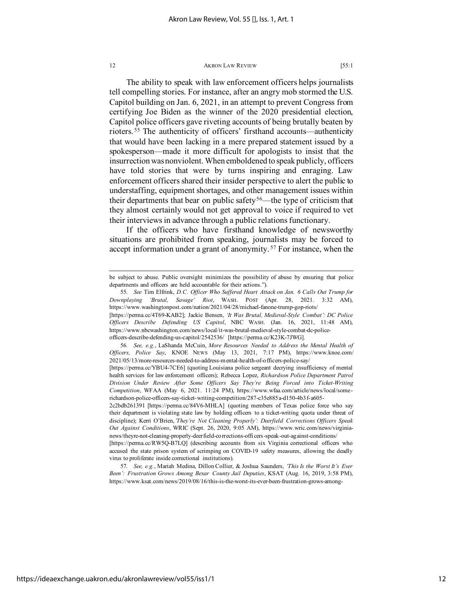The ability to speak with law enforcement officers helps journalists tell compelling stories. For instance, after an angry mob stormed the U.S. Capitol building on Jan. 6, 2021, in an attempt to prevent Congress from certifying Joe Biden as the winner of the 2020 presidential election, Capitol police officers gave riveting accounts of being brutally beaten by rioters. [55](#page-12-0) The authenticity of officers' firsthand accounts—authenticity that would have been lacking in a mere prepared statement issued by a spokesperson—made it more difficult for apologists to insist that the insurrection was nonviolent. When emboldened to speak publicly, officers have told stories that were by turns inspiring and enraging. Law enforcement officers shared their insider perspective to alert the public to understaffing, equipment shortages, and other management issues within their departments that bear on public safety<sup>[56](#page-12-1)</sup>—the type of criticism that they almost certainly would not get approval to voice if required to vet their interviews in advance through a public relations functionary.

If the officers who have firsthand knowledge of newsworthy situations are prohibited from speaking, journalists may be forced to accept information under a grant of anonymity.<sup>[57](#page-12-2)</sup> For instance, when the

https://ideaexchange.uakron.edu/akronlawreview/vol55/iss1/1

be subject to abuse. Public oversight minimizes the possibility of abuse by ensuring that police departments and officers are held accountable for their actions.").

<span id="page-12-0"></span><sup>55</sup>*. See* Tim Elfrink, *D.C. Officer Who Suffered Heart Attack on Jan. 6 Calls Out Trump for Downplaying 'Brutal, Savage' Riot*, WASH. POST (Apr. 28, 2021. 3:32 AM), https://www.washingtonpost.com/nation/2021/04/28/michael-fanone-trump-gop-riots/

<sup>[</sup>https://perma.cc/4T69-KAB2]; Jackie Bensen, *'It Was Brutal, Medieval-Style Combat': DC Police Officers Describe Defending US Capitol*, NBC WASH. (Jan. 16, 2021, 11:48 AM), https://www.nbcwashington.com/news/local/it-was-brutal-medieval-style-combat-dc-policeofficers-describe-defending-us-capitol/2542536/ [https://perma.cc/K23K-7JWG].

<span id="page-12-1"></span><sup>56</sup>*. See, e.g.*, LaShanda McCuin, *More Resources Needed to Address the Mental Health of Officers, Police Say*, KNOE NEWS (May 13, 2021, 7:17 PM), https://www.knoe.com/ 2021/05/13/more-resources-needed-to-address-mental-health-of-officers-police-say/

<sup>[</sup>https://perma.cc/YBU4-7CE6] (quoting Louisiana police sergeant decrying insufficiency of mental health services for law enforcement officers); Rebecca Lopez, *Richardson Police Department Patrol Division Under Review After Some Officers Say They're Being Forced into Ticket-Writing Competition*, WFAA (May 6, 2021. 11:24 PM), https://www.wfaa.com/article/news/local/somerichardson-police-officers-say-ticket-writing-competition/287-c35e885a-d150-4b3f-a605-

<sup>2</sup>c2bdb261391 [https://perma.cc/84V6-MHLA] (quoting members of Texas police force who say their department is violating state law by holding officers to a ticket-writing quota under threat of discipline); Kerri O'Brien,*'They're Not Cleaning Properly': Deerfield Corrections Officers Speak Out Against Conditions*, WRIC (Sept. 26, 2020, 9:05 AM), https://www.wric.com/news/virginianews/theyre-not-cleaning-properly-deerfield-corrections-officers-speak-out-against-conditions/

<sup>[</sup>https://perma.cc/RW5Q-B7LQ] (describing accounts from six Virginia correctional officers who accused the state prison system of scrimping on COVID-19 safety measures, allowing the deadly virus to proliferate inside correctional institutions).

<span id="page-12-2"></span><sup>57</sup>*. See, e.g.*, Mariah Medina, Dillon Collier, & Joshua Saunders, *'This Is the Worst It's Ever Been': Frustration Grows Among Bexar County Jail Deputies*, KSAT (Aug. 16, 2019, 3:58 PM), https://www.ksat.com/news/2019/08/16/this-is-the-worst-its-ever-been-frustration-grows-among-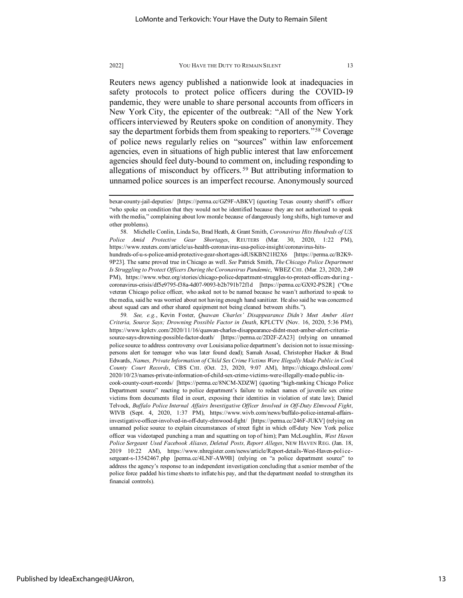Reuters news agency published a nationwide look at inadequacies in safety protocols to protect police officers during the COVID-19 pandemic, they were unable to share personal accounts from officers in New York City, the epicenter of the outbreak: "All of the New York officers interviewed by Reuters spoke on condition of anonymity. They say the department forbids them from speaking to reporters."<sup>[58](#page-13-0)</sup> Coverage of police news regularly relies on "sources" within law enforcement agencies, even in situations of high public interest that law enforcement agencies should feel duty-bound to comment on, including responding to allegations of misconduct by officers. [59](#page-13-1) But attributing information to unnamed police sources is an imperfect recourse. Anonymously sourced

<span id="page-13-1"></span>59*. See, e.g.*, Kevin Foster, *Quawan Charles' Disappearance Didn't Meet Amber Alert Criteria, Source Says; Drowning Possible Factor in Death*, KPLCTV (Nov. 16, 2020, 5:36 PM), https://www.kplctv.com/2020/11/16/quawan-charles-disappearance-didnt-meet-amber-alert-criteriasource-says-drowning-possible-factor-death/ [https://perma.cc/2D2F-ZA23] (relying on unnamed police source to address controversy over Louisiana police department's decision not to issue missingpersons alert for teenager who was later found dead); Samah Assad, Christopher Hacker & Brad Edwards, *Names, Private Information of Child Sex Crime Victims Were Illegally Made Public in Cook County Court Records*, CBS CHI. (Oct. 23, 2020, 9:07 AM), https://chicago.cbslocal.com/ 2020/10/23/names-private-information-of-child-sex-crime-victims-were-illegally-made-public-in-

cook-county-court-records/ [https://perma.cc/8NCM-XDZW] (quoting "high-ranking Chicago Police Department source" reacting to police department's failure to redact names of juvenile sex crime victims from documents filed in court, exposing their identities in violation of state law); Daniel Telvock, *Buffalo Police Internal Affairs Investigative Officer Involved in Off-Duty Elmwood Fight*, WIVB (Sept. 4, 2020, 1:37 PM), https://www.wivb.com/news/buffalo-police-internal-affairsinvestigative-officer-involved-in-off-duty-elmwood-fight/ [https://perma.cc/246F-JUKV] (relying on unnamed police source to explain circumstances of street fight in which off-duty New York police officer was videotaped punching a man and squatting on top of him); Pam McLoughlin, *West Haven Police Sergeant Used Facebook Aliases, Deleted Posts, Report Alleges*, NEW HAVEN REG. (Jan. 18, 2019 10:22 AM), https://www.nhregister.com/news/article/Report-details-West-Haven-policesergeant-s-13542467.php [perma.cc/4LNF-AW9B] (relying on "a police department source" to address the agency's response to an independent investigation concluding that a senior member of the police force padded his time sheets to inflate his pay, and that the department needed to strengthen its financial controls).

bexar-county-jail-deputies/ [https://perma.cc/GZ9F-ABKV] (quoting Texas county sheriff's officer "who spoke on condition that they would not be identified because they are not authorized to speak with the media," complaining about low morale because of dangerously long shifts, high turnover and other problems).

<span id="page-13-0"></span><sup>58.</sup> Michelle Conlin, Linda So, Brad Heath, & Grant Smith, *Coronavirus Hits Hundreds of U.S. Police Amid Protective Gear Shortages*, REUTERS (Mar. 30, 2020, 1:22 PM), https://www.reuters.com/article/us-health-coronavirus-usa-police-insight/coronavirus-hitshundreds-of-u-s-police-amid-protective-gear-shortages-idUSKBN21H2X6 [https://perma.cc/B2K9- 9P23]. The same proved true in Chicago as well. *See* Patrick Smith, *The Chicago Police Department Is Struggling to Protect Officers During the Coronavirus Pandemic*, WBEZ CHI. (Mar. 23, 2020, 2:49 PM), https://www.wbez.org/stories/chicago-police-department-struggles-to-protect-officers-during coronavirus-crisis/df5e9795-f38a-4d07-9093-b2b791b72f1d [https://perma.cc/GX92-PS2R] ("One veteran Chicago police officer, who asked not to be named because he wasn't authorized to speak to the media, said he was worried about not having enough hand sanitizer. He also said he was concerned about squad cars and other shared equipment not being cleaned between shifts.").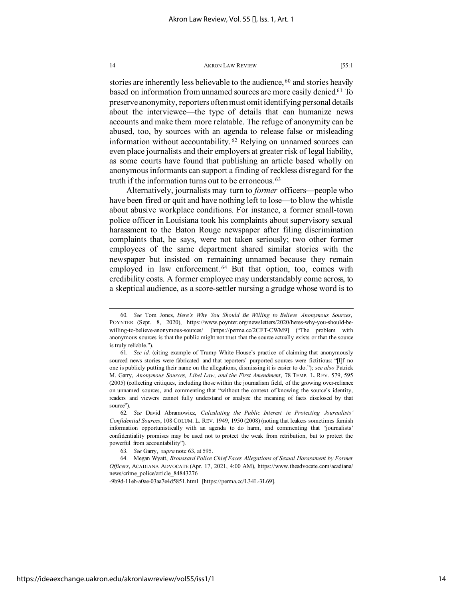stories are inherently less believable to the audience, <sup>[60](#page-14-0)</sup> and stories heavily based on information from unnamed sources are more easily denied[.61](#page-14-1) To preserve anonymity, reporters often must omit identifying personal details about the interviewee—the type of details that can humanize news accounts and make them more relatable. The refuge of anonymity can be abused, too, by sources with an agenda to release false or misleading information without accountability. [62](#page-14-2) Relying on unnamed sources can even place journalists and their employers at greater risk of legal liability, as some courts have found that publishing an article based wholly on anonymous informants can support a finding of reckless disregard for the truth if the information turns out to be erroneous. [63](#page-14-3)

Alternatively, journalists may turn to *former* officers—people who have been fired or quit and have nothing left to lose—to blow the whistle about abusive workplace conditions. For instance, a former small-town police officer in Louisiana took his complaints about supervisory sexual harassment to the Baton Rouge newspaper after filing discrimination complaints that, he says, were not taken seriously; two other former employees of the same department shared similar stories with the newspaper but insisted on remaining unnamed because they remain employed in law enforcement.<sup>[64](#page-14-4)</sup> But that option, too, comes with credibility costs. A former employee may understandably come across, to a skeptical audience, as a score-settler nursing a grudge whose word is to

-9b9d-11eb-a0ae-03aa7e4d5851.html [https://perma.cc/L34L-3L69].

<span id="page-14-0"></span><sup>60</sup>*. See* Tom Jones, *Here's Why You Should Be Willing to Believe Anonymous Sources*, POYNTER (Sept. 8, 2020), https://www.poynter.org/newsletters/2020/heres-why-you-should-bewilling-to-believe-anonymous-sources/ [https://perma.cc/2CFT-CWM9] ("The problem with anonymous sources is that the public might not trust that the source actually exists or that the source is truly reliable.").

<span id="page-14-1"></span><sup>61</sup>*. See id.* (citing example of Trump White House's practice of claiming that anonymously sourced news stories were fabricated and that reporters' purported sources were fictitious: "[I]f no one is publicly putting their name on the allegations, dismissing it is easier to do."); *see also* Patrick M. Garry, *Anonymous Sources, Libel Law, and the First Amendment*, 78 TEMP. L. REV. 579, 595 (2005) (collecting critiques, including those within the journalism field, of the growing over-reliance on unnamed sources, and commenting that "without the context of knowing the source's identity, readers and viewers cannot fully understand or analyze the meaning of facts disclosed by that source").

<span id="page-14-2"></span><sup>62</sup>*. See* David Abramowicz, *Calculating the Public Interest in Protecting Journalists' Confidential Sources*, 108 COLUM. L. REV. 1949, 1950 (2008) (noting that leakers sometimes furnish information opportunistically with an agenda to do harm, and commenting that "journalists' confidentiality promises may be used not to protect the weak from retribution, but to protect the powerful from accountability").

<sup>63</sup>*. See* Garry, *supra* note 63, at 595.

<span id="page-14-4"></span><span id="page-14-3"></span><sup>64.</sup> Megan Wyatt, *Broussard Police Chief Faces Allegations of Sexual Harassment by Former Officers*, ACADIANA ADVOCATE (Apr. 17, 2021, 4:00 AM), https://www.theadvocate.com/acadiana/ news/crime\_police/article\_84843276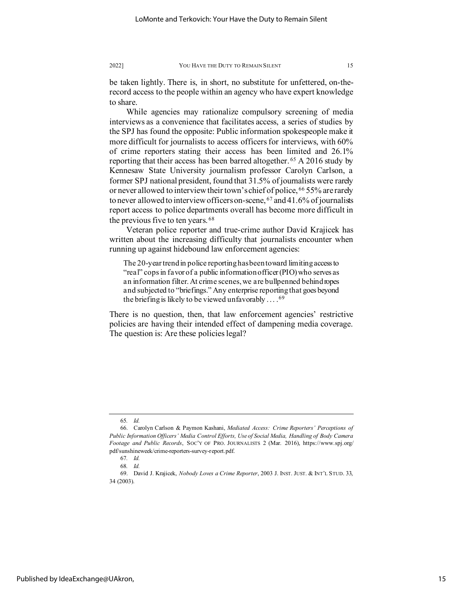be taken lightly. There is, in short, no substitute for unfettered, on-therecord access to the people within an agency who have expert knowledge to share.

While agencies may rationalize compulsory screening of media interviews as a convenience that facilitates access, a series of studies by the SPJ has found the opposite: Public information spokespeople make it more difficult for journalists to access officers for interviews, with 60% of crime reporters stating their access has been limited and 26.1% reporting that their access has been barred altogether. [65](#page-15-0) A 2016 study by Kennesaw State University journalism professor Carolyn Carlson, a former SPJ national president, found that 31.5% of journalists were rarely or never allowed to interview their town's chief of police, <sup>[66](#page-15-1)</sup> 55% are rarely to never allowed to interview officers on-scene,  $67$  and 41.6% of journalists report access to police departments overall has become more difficult in the previous five to ten years. [68](#page-15-3)

Veteran police reporter and true-crime author David Krajicek has written about the increasing difficulty that journalists encounter when running up against hidebound law enforcement agencies:

The 20-year trend in police reporting has been toward limiting access to "real" cops in favor of a public information officer (PIO) who serves as an information filter. At crime scenes, we are bullpenned behind ropes and subjected to "briefings." Any enterprise reporting that goes beyond the briefing is likely to be viewed unfavorably  $\dots$ .<sup>[69](#page-15-4)</sup>

There is no question, then, that law enforcement agencies' restrictive policies are having their intended effect of dampening media coverage. The question is: Are these policies legal?

<sup>65</sup>*. Id.*

<span id="page-15-1"></span><span id="page-15-0"></span><sup>66.</sup> Carolyn Carlson & Paymon Kashani, *Mediated Access: Crime Reporters' Perceptions of Public Information Officers' Media Control Efforts, Use of Social Media, Handling of Body Camera Footage and Public Records*, SOC'Y OF PRO. JOURNALISTS 2 (Mar. 2016), https://www.spj.org/ pdf/sunshineweek/crime-reporters-survey-report.pdf.

<sup>67</sup>*. Id.*

<sup>68</sup>*. Id.*

<span id="page-15-4"></span><span id="page-15-3"></span><span id="page-15-2"></span><sup>69.</sup> David J. Krajicek, *Nobody Loves a Crime Reporter*, 2003 J. INST. JUST. & INT'L STUD. 33, 34 (2003).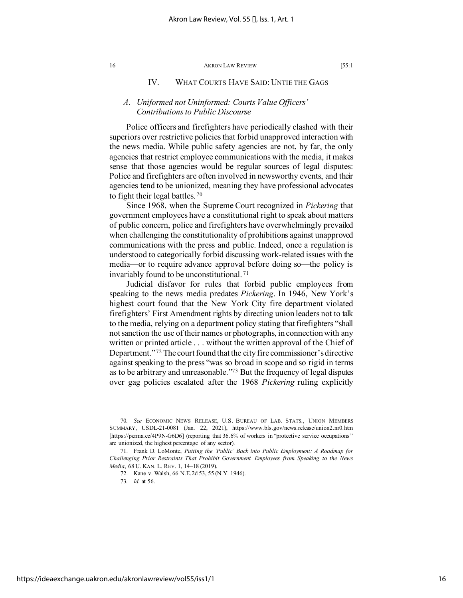# IV. WHAT COURTS HAVE SAID: UNTIE THE GAGS

# *A. Uniformed not Uninformed: Courts Value Officers' Contributions to Public Discourse*

Police officers and firefighters have periodically clashed with their superiors over restrictive policies that forbid unapproved interaction with the news media. While public safety agencies are not, by far, the only agencies that restrict employee communications with the media, it makes sense that those agencies would be regular sources of legal disputes: Police and firefighters are often involved in newsworthy events, and their agencies tend to be unionized, meaning they have professional advocates to fight their legal battles. [70](#page-16-0)

Since 1968, when the Supreme Court recognized in *Pickering* that government employees have a constitutional right to speak about matters of public concern, police and firefighters have overwhelmingly prevailed when challenging the constitutionality of prohibitions against unapproved communications with the press and public. Indeed, once a regulation is understood to categorically forbid discussing work-related issues with the media—or to require advance approval before doing so—the policy is invariably found to be unconstitutional. [71](#page-16-1)

Judicial disfavor for rules that forbid public employees from speaking to the news media predates *Pickering*. In 1946, New York's highest court found that the New York City fire department violated firefighters' First Amendment rights by directing union leaders not to talk to the media, relying on a department policy stating that firefighters "shall not sanction the use of their names or photographs, in connection with any written or printed article . . . without the written approval of the Chief of Department."[72](#page-16-2) The court found that the city fire commissioner's directive against speaking to the press "was so broad in scope and so rigid in terms as to be arbitrary and unreasonable.["73](#page-16-3) But the frequency of legal disputes over gag policies escalated after the 1968 *Pickering* ruling explicitly

<span id="page-16-0"></span><sup>70</sup>*. See* ECONOMIC NEWS RELEASE, U.S. BUREAU OF LAB. STATS., UNION MEMBERS SUMMARY, USDL-21-0081 (Jan. 22, 2021), https://www.bls.gov/news.release/union2.nr0.htm [https://perma.cc/4P9N-G6D6] (reporting that 36.6% of workers in "protective service occupations" are unionized, the highest percentage of any sector).

<span id="page-16-3"></span><span id="page-16-2"></span><span id="page-16-1"></span><sup>71.</sup> Frank D. LoMonte, *Putting the 'Public' Back into Public Employment: A Roadmap for Challenging Prior Restraints That Prohibit Government Employees from Speaking to the News Media*, 68 U. KAN. L. REV. 1, 14–18 (2019).

<sup>72.</sup> Kane v. Walsh, 66 N.E.2d 53, 55 (N.Y. 1946).

<sup>73</sup>*. Id.* at 56.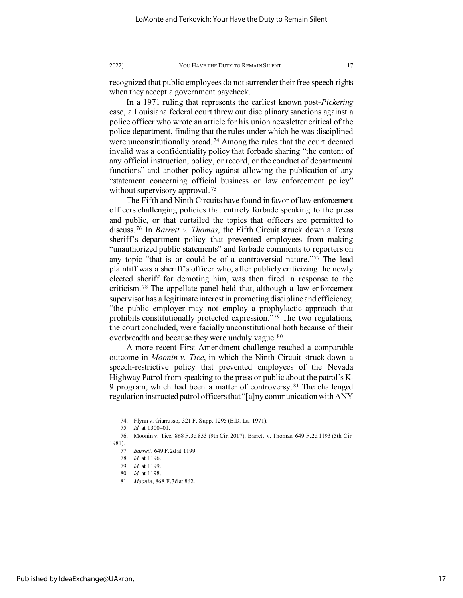recognized that public employees do not surrender their free speech rights when they accept a government paycheck.

In a 1971 ruling that represents the earliest known post-*Pickering*  case, a Louisiana federal court threw out disciplinary sanctions against a police officer who wrote an article for his union newsletter critical of the police department, finding that the rules under which he was disciplined were unconstitutionally broad. [74](#page-17-0) Among the rules that the court deemed invalid was a confidentiality policy that forbade sharing "the content of any official instruction, policy, or record, or the conduct of departmental functions" and another policy against allowing the publication of any "statement concerning official business or law enforcement policy" without supervisory approval.<sup>[75](#page-17-1)</sup>

The Fifth and Ninth Circuits have found in favor of law enforcement officers challenging policies that entirely forbade speaking to the press and public, or that curtailed the topics that officers are permitted to discuss. [76](#page-17-2) In *Barrett v. Thomas*, the Fifth Circuit struck down a Texas sheriff's department policy that prevented employees from making "unauthorized public statements" and forbade comments to reporters on any topic "that is or could be of a controversial nature."[77](#page-17-3) The lead plaintiff was a sheriff's officer who, after publicly criticizing the newly elected sheriff for demoting him, was then fired in response to the criticism. [78](#page-17-4) The appellate panel held that, although a law enforcement supervisor has a legitimate interest in promoting discipline and efficiency, "the public employer may not employ a prophylactic approach that prohibits constitutionally protected expression.<sup> $\dot{r}$ [79](#page-17-5) The two regulations,</sup> the court concluded, were facially unconstitutional both because of their overbreadth and because they were unduly vague. [80](#page-17-6)

A more recent First Amendment challenge reached a comparable outcome in *Moonin v. Tice*, in which the Ninth Circuit struck down a speech-restrictive policy that prevented employees of the Nevada Highway Patrol from speaking to the press or public about the patrol's K-9 program, which had been a matter of controversy.<sup>[81](#page-17-7)</sup> The challenged regulation instructed patrol officers that "[a]ny communication with ANY

<sup>74.</sup> Flynn v. Giarrusso, 321 F. Supp. 1295 (E.D. La. 1971).

<sup>75</sup>*. Id.* at 1300–01.

<span id="page-17-7"></span><span id="page-17-6"></span><span id="page-17-5"></span><span id="page-17-4"></span><span id="page-17-3"></span><span id="page-17-2"></span><span id="page-17-1"></span><span id="page-17-0"></span><sup>76.</sup> Moonin v. Tice, 868 F.3d 853 (9th Cir. 2017); Barrett v. Thomas, 649 F.2d 1193 (5th Cir. 1981).

<sup>77</sup>*. Barrett*, 649 F.2d at 1199.

<sup>78</sup>*. Id.* at 1196.

<sup>79</sup>*. Id.* at 1199.

<sup>80</sup>*. Id.* at 1198.

<sup>81</sup>*. Moonin*, 868 F.3d at 862.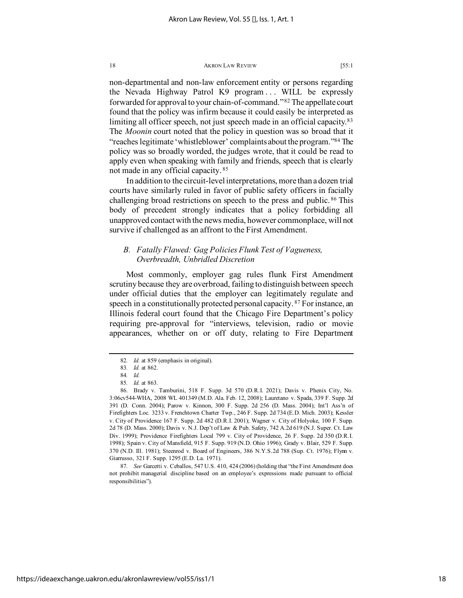non-departmental and non-law enforcement entity or persons regarding the Nevada Highway Patrol K9 program ... WILL be expressly forwarded for approval to your chain-of-command."[82](#page-18-0) The appellate court found that the policy was infirm because it could easily be interpreted as limiting all officer speech, not just speech made in an official capacity.<sup>[83](#page-18-1)</sup> The *Moonin* court noted that the policy in question was so broad that it "reaches legitimate 'whistleblower' complaints about the program.["84](#page-18-2) The policy was so broadly worded, the judges wrote, that it could be read to apply even when speaking with family and friends, speech that is clearly not made in any official capacity. [85](#page-18-3)

In addition to the circuit-level interpretations, more than a dozen trial courts have similarly ruled in favor of public safety officers in facially challenging broad restrictions on speech to the press and public. [86](#page-18-4) This body of precedent strongly indicates that a policy forbidding all unapproved contact with the news media, however commonplace, will not survive if challenged as an affront to the First Amendment.

# *B. Fatally Flawed: Gag Policies Flunk Test of Vagueness, Overbreadth, Unbridled Discretion*

Most commonly, employer gag rules flunk First Amendment scrutiny because they are overbroad, failing to distinguish between speech under official duties that the employer can legitimately regulate and speech in a constitutionally protected personal capacity. [87](#page-18-5) For instance, an Illinois federal court found that the Chicago Fire Department's policy requiring pre-approval for "interviews, television, radio or movie appearances, whether on or off duty, relating to Fire Department

<span id="page-18-5"></span>87*. See* Garcetti v. Ceballos, 547 U.S. 410, 424 (2006) (holding that "the First Amendment does not prohibit managerial discipline based on an employee's expressions made pursuant to official responsibilities").

<sup>82</sup>*. Id.* at 859 (emphasis in original).

<sup>83</sup>*. Id.* at 862.

<sup>84</sup>*. Id.* 85*. Id.* at 863.

<span id="page-18-4"></span><span id="page-18-3"></span><span id="page-18-2"></span><span id="page-18-1"></span><span id="page-18-0"></span><sup>86.</sup> Brady v. Tamburini, 518 F. Supp. 3d 570 (D.R.I. 2021); Davis v. Phenix City, No. 3:06cv544-WHA, 2008 WL 401349 (M.D. Ala. Feb. 12, 2008); Lauretano v. Spada, 339 F. Supp. 2d 391 (D. Conn. 2004); Parow v. Kinnon, 300 F. Supp. 2d 256 (D. Mass. 2004); Int'l Ass'n of Firefighters Loc. 3233 v. Frenchtown Charter Twp., 246 F. Supp. 2d 734 (E.D. Mich. 2003); Kessler v. City of Providence 167 F. Supp. 2d 482 (D.R.I. 2001); Wagner v. City of Holyoke, 100 F. Supp. 2d 78 (D. Mass. 2000); Davis v. N.J. Dep't of Law & Pub. Safety, 742 A.2d 619 (N.J. Super. Ct. Law Div. 1999); Providence Firefighters Local 799 v. City of Providence, 26 F. Supp. 2d 350 (D.R.I. 1998); Spain v. City of Mansfield, 915 F. Supp. 919 (N.D. Ohio 1996); Grady v. Blair, 529 F. Supp. 370 (N.D. Ill. 1981); Steenrod v. Board of Engineers, 386 N.Y.S.2d 788 (Sup. Ct. 1976); Flynn v. Giarrusso, 321 F. Supp. 1295 (E.D. La. 1971).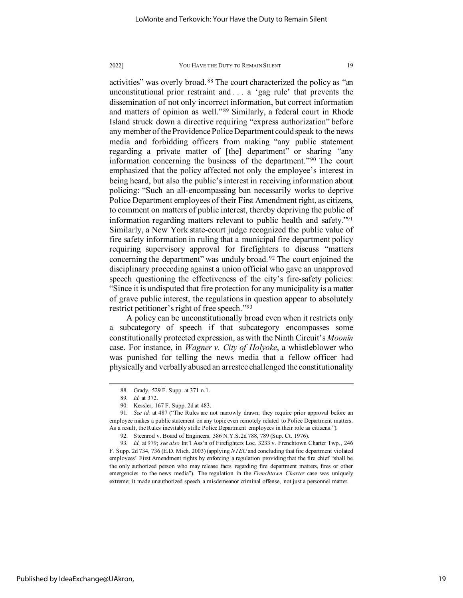activities" was overly broad. [88](#page-19-0) The court characterized the policy as "an unconstitutional prior restraint and . . . a 'gag rule' that prevents the dissemination of not only incorrect information, but correct information and matters of opinion as well."[89](#page-19-1) Similarly, a federal court in Rhode Island struck down a directive requiring "express authorization" before any member of the Providence Police Department could speak to the news media and forbidding officers from making "any public statement regarding a private matter of [the] department" or sharing "any information concerning the business of the department."[90](#page-19-2) The court emphasized that the policy affected not only the employee's interest in being heard, but also the public's interest in receiving information about policing: "Such an all-encompassing ban necessarily works to deprive Police Department employees of their First Amendment right, as citizens, to comment on matters of public interest, thereby depriving the public of information regarding matters relevant to public health and safety.["91](#page-19-3) Similarly, a New York state-court judge recognized the public value of fire safety information in ruling that a municipal fire department policy requiring supervisory approval for firefighters to discuss "matters concerning the department" was unduly broad. [92](#page-19-4) The court enjoined the disciplinary proceeding against a union official who gave an unapproved speech questioning the effectiveness of the city's fire-safety policies: "Since it is undisputed that fire protection for any municipality is a matter of grave public interest, the regulations in question appear to absolutely restrict petitioner's right of free speech."[93](#page-19-5)

A policy can be unconstitutionally broad even when it restricts only a subcategory of speech if that subcategory encompasses some constitutionally protected expression, as with the Ninth Circuit's *Moonin* case. For instance, in *Wagner v. City of Holyoke*, a whistleblower who was punished for telling the news media that a fellow officer had physically and verbally abused an arrestee challenged the constitutionality

<sup>88.</sup> Grady, 529 F. Supp. at 371 n.1.

<sup>89</sup>*. Id.* at 372.

<sup>90.</sup> Kessler, 167 F. Supp. 2d at 483.

<span id="page-19-3"></span><span id="page-19-2"></span><span id="page-19-1"></span><span id="page-19-0"></span><sup>91</sup>*. See id.* at 487 ("The Rules are not narrowly drawn; they require prior approval before an employee makes a public statement on any topic even remotely related to Police Department matters. As a result, the Rules inevitably stifle Police Department employees in their role as citizens.").

<sup>92.</sup> Steenrod v. Board of Engineers, 386 N.Y.S.2d 788, 789 (Sup. Ct. 1976).

<span id="page-19-5"></span><span id="page-19-4"></span><sup>93</sup>*. Id.* at 979; *see also* Int'l Ass'n of Firefighters Loc. 3233 v. Frenchtown Charter Twp., 246 F. Supp. 2d 734, 736 (E.D. Mich. 2003) (applying *NTEU* and concluding that fire department violated employees' First Amendment rights by enforcing a regulation providing that the fire chief "shall be the only authorized person who may release facts regarding fire department matters, fires or other emergencies to the news media"). The regulation in the *Frenchtown Charter* case was uniquely extreme; it made unauthorized speech a misdemeanor criminal offense, not just a personnel matter.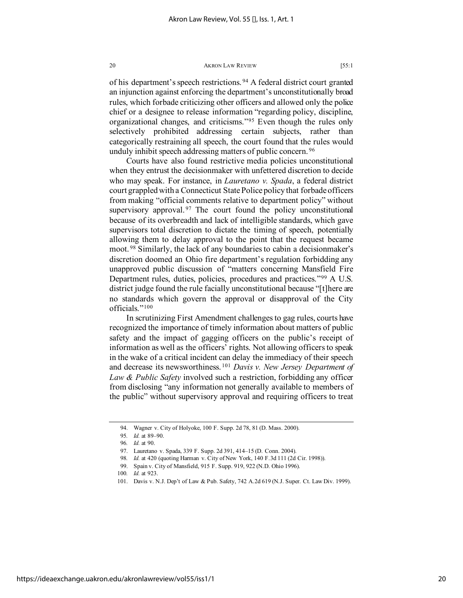of his department's speech restrictions. [94](#page-20-0) A federal district court granted an injunction against enforcing the department's unconstitutionally broad rules, which forbade criticizing other officers and allowed only the police chief or a designee to release information "regarding policy, discipline, organizational changes, and criticisms."[95](#page-20-1) Even though the rules only selectively prohibited addressing certain subjects, rather than categorically restraining all speech, the court found that the rules would unduly inhibit speech addressing matters of public concern. [96](#page-20-2)

Courts have also found restrictive media policies unconstitutional when they entrust the decisionmaker with unfettered discretion to decide who may speak. For instance, in *Lauretano v. Spada*, a federal district court grappled with a Connecticut State Police policy that forbade officers from making "official comments relative to department policy" without supervisory approval.  $97$  The court found the policy unconstitutional because of its overbreadth and lack of intelligible standards, which gave supervisors total discretion to dictate the timing of speech, potentially allowing them to delay approval to the point that the request became moot. [98](#page-20-4) Similarly, the lack of any boundaries to cabin a decisionmaker's discretion doomed an Ohio fire department's regulation forbidding any unapproved public discussion of "matters concerning Mansfield Fire Department rules, duties, policies, procedures and practices."[99](#page-20-5) A U.S. district judge found the rule facially unconstitutional because "[t]here are no standards which govern the approval or disapproval of the City officials."[100](#page-20-6)

In scrutinizing First Amendment challenges to gag rules, courts have recognized the importance of timely information about matters of public safety and the impact of gagging officers on the public's receipt of information as well as the officers' rights. Not allowing officers to speak in the wake of a critical incident can delay the immediacy of their speech and decrease its newsworthiness. [101](#page-20-7) *Davis v. New Jersey Department of Law & Public Safety* involved such a restriction, forbidding any officer from disclosing "any information not generally available to members of the public" without supervisory approval and requiring officers to treat

<span id="page-20-0"></span><sup>94.</sup> Wagner v. City of Holyoke, 100 F. Supp. 2d 78, 81 (D. Mass. 2000).

<sup>95</sup>*. Id.* at 89–90.

<sup>96</sup>*. Id.* at 90.

<span id="page-20-2"></span><span id="page-20-1"></span><sup>97.</sup> Lauretano v. Spada, 339 F. Supp. 2d 391, 414–15 (D. Conn. 2004).

<sup>98</sup>*. Id.* at 420 (quoting Harman v. City of New York, 140 F.3d 111 (2d Cir. 1998)).

<span id="page-20-3"></span><sup>99.</sup> Spain v. City of Mansfield, 915 F. Supp. 919, 922 (N.D. Ohio 1996).

<span id="page-20-6"></span><span id="page-20-5"></span><span id="page-20-4"></span><sup>100</sup>*. Id.* at 923.

<span id="page-20-7"></span><sup>101.</sup> Davis v. N.J. Dep't of Law & Pub. Safety, 742 A.2d 619 (N.J. Super. Ct. Law Div. 1999).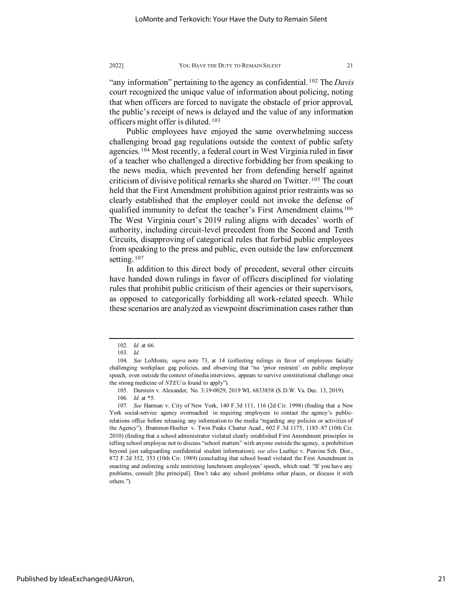"any information" pertaining to the agency as confidential. [102](#page-21-0) The *Davis* court recognized the unique value of information about policing, noting that when officers are forced to navigate the obstacle of prior approval, the public's receipt of news is delayed and the value of any information officers might offer is diluted. [103](#page-21-1)

Public employees have enjoyed the same overwhelming success challenging broad gag regulations outside the context of public safety agencies.<sup>[104](#page-21-2)</sup> Most recently, a federal court in West Virginia ruled in favor of a teacher who challenged a directive forbidding her from speaking to the news media, which prevented her from defending herself against criticism of divisive political remarks she shared on Twitter. [105](#page-21-3) The court held that the First Amendment prohibition against prior restraints was so clearly established that the employer could not invoke the defense of qualified immunity to defeat the teacher's First Amendment claims.<sup>[106](#page-21-4)</sup> The West Virginia court's 2019 ruling aligns with decades' worth of authority, including circuit-level precedent from the Second and Tenth Circuits, disapproving of categorical rules that forbid public employees from speaking to the press and public, even outside the law enforcement setting.<sup>[107](#page-21-5)</sup>

In addition to this direct body of precedent, several other circuits have handed down rulings in favor of officers disciplined for violating rules that prohibit public criticism of their agencies or their supervisors, as opposed to categorically forbidding all work-related speech. While these scenarios are analyzed as viewpoint discrimination cases rather than

<sup>102</sup>*. Id.* at 66.

<sup>103</sup>*. Id.*

<span id="page-21-2"></span><span id="page-21-1"></span><span id="page-21-0"></span><sup>104</sup>*. See* LoMonte, *supra* note 73, at 14 (collecting rulings in favor of employees facially challenging workplace gag policies, and observing that "no 'prior restraint' on public employee speech, even outside the context of media interviews, appears to survive constitutional challenge once the strong medicine of *NTEU* is found to apply").

<sup>105.</sup> Durstein v. Alexander, No. 3:19-0029, 2019 WL 6833858 (S.D.W. Va. Dec. 13, 2019).

<sup>106</sup>*. Id.* at \*5.

<span id="page-21-5"></span><span id="page-21-4"></span><span id="page-21-3"></span><sup>107</sup>*. See* Harman v. City of New York, 140 F.3d 111, 116 (2d Cir. 1998) (finding that a New York social-service agency overreached in requiring employees to contact the agency's publicrelations office before releasing any information to the media "regarding any policies or activities of the Agency"); Brammer-Hoelter v. Twin Peaks Charter Acad., 602 F.3d 1175, 1185–87 (10th Cir. 2010) (finding that a school administrator violated clearly established First Amendment principles in telling school employee not to discuss "school matters" with anyone outside the agency, a prohibition beyond just safeguarding confidential student information); *see also* Luethje v. Peavine Sch. Dist., 872 F.2d 352, 353 (10th Cir. 1989) (concluding that school board violated the First Amendment in enacting and enforcing a rule restricting lunchroom employees' speech, which read: "If you have any problems, consult [the principal]. Don't take any school problems other places, or discuss it with others.").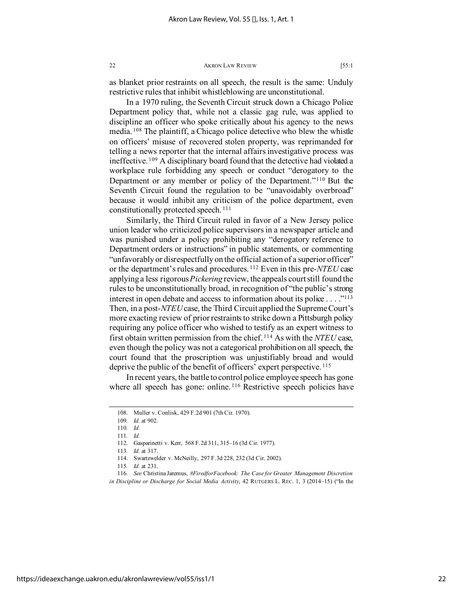as blanket prior restraints on all speech, the result is the same: Unduly restrictive rules that inhibit whistleblowing are unconstitutional.

In a 1970 ruling, the Seventh Circuit struck down a Chicago Police Department policy that, while not a classic gag rule, was applied to discipline an officer who spoke critically about his agency to the news media. [108](#page-22-0) The plaintiff, a Chicago police detective who blew the whistle on officers' misuse of recovered stolen property, was reprimanded for telling a news reporter that the internal affairs investigative process was ineffective. [109](#page-22-1) A disciplinary board found that the detective had violated a workplace rule forbidding any speech or conduct "derogatory to the Department or any member or policy of the Department."[110](#page-22-2) But the Seventh Circuit found the regulation to be "unavoidably overbroad" because it would inhibit any criticism of the police department, even constitutionally protected speech. [111](#page-22-3)

Similarly, the Third Circuit ruled in favor of a New Jersey police union leader who criticized police supervisors in a newspaper article and was punished under a policy prohibiting any "derogatory reference to Department orders or instructions" in public statements, or commenting "unfavorably or disrespectfully on the official action of a superior officer" or the department's rules and procedures. [112](#page-22-4) Even in this pre-*NTEU* case applying a less rigorous *Pickering* review, the appeals court still found the rules to be unconstitutionally broad, in recognition of "the public's strong interest in open debate and access to information about its police  $\dots$ ."<sup>113</sup> Then, in a post-*NTEU*case, the Third Circuit applied the Supreme Court's more exacting review of prior restraints to strike down a Pittsburgh policy requiring any police officer who wished to testify as an expert witness to first obtain written permission from the chief. [114](#page-22-6) As with the *NTEU* case, even though the policy was not a categorical prohibition on all speech, the court found that the proscription was unjustifiably broad and would deprive the public of the benefit of officers' expert perspective.<sup>[115](#page-22-7)</sup>

In recent years, the battle to control police employee speech has gone where all speech has gone: online.<sup>[116](#page-22-8)</sup> Restrictive speech policies have

<span id="page-22-2"></span><span id="page-22-1"></span><span id="page-22-0"></span><sup>108.</sup> Muller v. Conlisk, 429 F.2d 901 (7th Cir. 1970).

<sup>109</sup>*. Id.* at 902.

<sup>110</sup>*. Id.*

<sup>111</sup>*. Id.*

<sup>112.</sup> Gasparinetti v. Kerr, 568 F.2d 311, 315–16 (3d Cir. 1977).

<sup>113</sup>*. Id.* at 317.

<sup>114.</sup> Swartzwelder v. McNeilly, 297 F.3d 228, 232 (3d Cir. 2002).

<sup>115</sup>*. Id.* at 231.

<span id="page-22-8"></span><span id="page-22-7"></span><span id="page-22-6"></span><span id="page-22-5"></span><span id="page-22-4"></span><span id="page-22-3"></span><sup>116</sup>*. See* Christina Jaremus, *#FiredforFacebook: The Case for Greater Management Discretion in Discipline or Discharge for Social Media Activity*, 42 RUTGERS L. REC. 1, 3 (2014–15) ("In the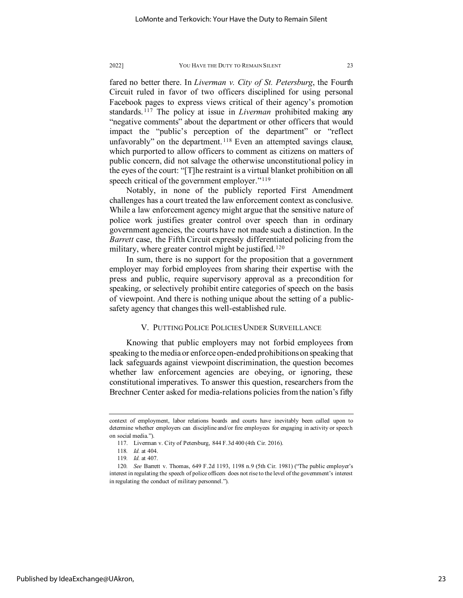fared no better there. In *Liverman v. City of St. Petersburg*, the Fourth Circuit ruled in favor of two officers disciplined for using personal Facebook pages to express views critical of their agency's promotion standards. [117](#page-23-0) The policy at issue in *Liverman* prohibited making any "negative comments" about the department or other officers that would impact the "public's perception of the department" or "reflect unfavorably" on the department.<sup>[118](#page-23-1)</sup> Even an attempted savings clause, which purported to allow officers to comment as citizens on matters of public concern, did not salvage the otherwise unconstitutional policy in the eyes of the court: "[T]he restraint is a virtual blanket prohibition on all speech critical of the government employer."<sup>[119](#page-23-2)</sup>

Notably, in none of the publicly reported First Amendment challenges has a court treated the law enforcement context as conclusive. While a law enforcement agency might argue that the sensitive nature of police work justifies greater control over speech than in ordinary government agencies, the courts have not made such a distinction. In the *Barrett* case, the Fifth Circuit expressly differentiated policing from the military, where greater control might be justified.<sup>[120](#page-23-3)</sup>

In sum, there is no support for the proposition that a government employer may forbid employees from sharing their expertise with the press and public, require supervisory approval as a precondition for speaking, or selectively prohibit entire categories of speech on the basis of viewpoint. And there is nothing unique about the setting of a publicsafety agency that changes this well-established rule.

# V. PUTTING POLICE POLICIES UNDER SURVEILLANCE

Knowing that public employers may not forbid employees from speaking to the media or enforce open-ended prohibitions on speaking that lack safeguards against viewpoint discrimination, the question becomes whether law enforcement agencies are obeying, or ignoring, these constitutional imperatives. To answer this question, researchers from the Brechner Center asked for media-relations policies from the nation's fifty

<span id="page-23-0"></span>context of employment, labor relations boards and courts have inevitably been called upon to determine whether employers can discipline and/or fire employees for engaging in activity or speech on social media.").

<sup>117.</sup> Liverman v. City of Petersburg, 844 F.3d 400 (4th Cir. 2016).

<sup>118</sup>*. Id.* at 404.

<sup>119</sup>*. Id.* at 407.

<span id="page-23-3"></span><span id="page-23-2"></span><span id="page-23-1"></span><sup>120</sup>*. See* Barrett v. Thomas, 649 F.2d 1193, 1198 n.9 (5th Cir. 1981) ("The public employer's interest in regulating the speech of police officers does not rise to the level of the government's interest in regulating the conduct of military personnel.").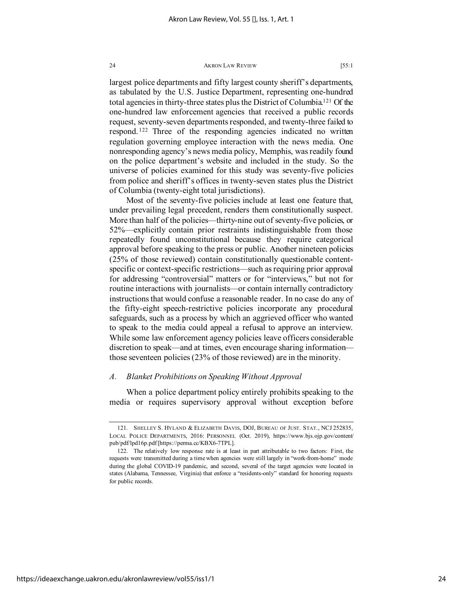largest police departments and fifty largest county sheriff's departments, as tabulated by the U.S. Justice Department, representing one-hundred total agencies in thirty-three states plus the District of Columbia[.121](#page-24-0) Of the one-hundred law enforcement agencies that received a public records request, seventy-seven departments responded, and twenty-three failed to respond. [122](#page-24-1) Three of the responding agencies indicated no written regulation governing employee interaction with the news media. One nonresponding agency's news media policy, Memphis, was readily found on the police department's website and included in the study. So the universe of policies examined for this study was seventy-five policies from police and sheriff's offices in twenty-seven states plus the District of Columbia (twenty-eight total jurisdictions).

Most of the seventy-five policies include at least one feature that, under prevailing legal precedent, renders them constitutionally suspect. More than half of the policies—thirty-nine out of seventy-five policies, or 52%—explicitly contain prior restraints indistinguishable from those repeatedly found unconstitutional because they require categorical approval before speaking to the press or public. Another nineteen policies (25% of those reviewed) contain constitutionally questionable contentspecific or context-specific restrictions—such as requiring prior approval for addressing "controversial" matters or for "interviews," but not for routine interactions with journalists—or contain internally contradictory instructions that would confuse a reasonable reader. In no case do any of the fifty-eight speech-restrictive policies incorporate any procedural safeguards, such as a process by which an aggrieved officer who wanted to speak to the media could appeal a refusal to approve an interview. While some law enforcement agency policies leave officers considerable discretion to speak—and at times, even encourage sharing information those seventeen policies (23% of those reviewed) are in the minority.

# *A. Blanket Prohibitions on Speaking Without Approval*

When a police department policy entirely prohibits speaking to the media or requires supervisory approval without exception before

<span id="page-24-0"></span><sup>121.</sup> SHELLEY S. HYLAND & ELIZABETH DAVIS, DOJ, BUREAU OF JUST. STAT., NCJ 252835, LOCAL POLICE DEPARTMENTS, 2016: PERSONNEL (Oct. 2019), https://www.bjs.ojp.gov/content/ pub/pdf/lpd16p.pdf [https://perma.cc/KBX6-7TPL].

<span id="page-24-1"></span><sup>122.</sup> The relatively low response rate is at least in part attributable to two factors: First, the requests were transmitted during a time when agencies were still largely in "work-from-home" mode during the global COVID-19 pandemic, and second, several of the target agencies were located in states (Alabama, Tennessee, Virginia) that enforce a "residents-only" standard for honoring requests for public records.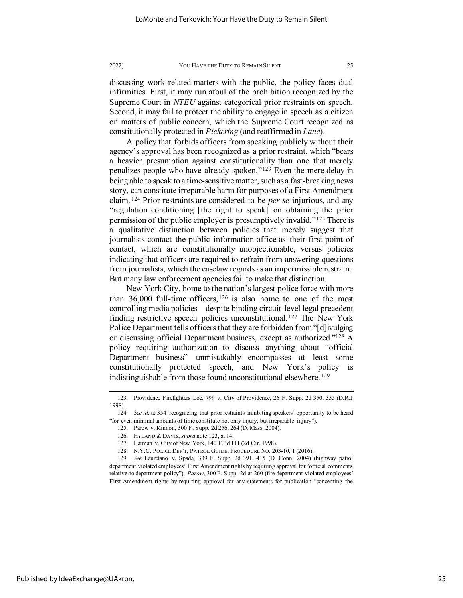discussing work-related matters with the public, the policy faces dual infirmities. First, it may run afoul of the prohibition recognized by the Supreme Court in *NTEU* against categorical prior restraints on speech. Second, it may fail to protect the ability to engage in speech as a citizen on matters of public concern, which the Supreme Court recognized as constitutionally protected in *Pickering* (and reaffirmed in *Lane*).

A policy that forbids officers from speaking publicly without their agency's approval has been recognized as a prior restraint, which "bears a heavier presumption against constitutionality than one that merely penalizes people who have already spoken."[123](#page-25-0) Even the mere delay in being able to speak to a time-sensitive matter, such as a fast-breaking news story, can constitute irreparable harm for purposes of a First Amendment claim. [124](#page-25-1) Prior restraints are considered to be *per se* injurious, and any "regulation conditioning [the right to speak] on obtaining the prior permission of the public employer is presumptively invalid."[125](#page-25-2) There is a qualitative distinction between policies that merely suggest that journalists contact the public information office as their first point of contact, which are constitutionally unobjectionable, versus policies indicating that officers are required to refrain from answering questions from journalists, which the caselaw regards as an impermissible restraint. But many law enforcement agencies fail to make that distinction.

New York City, home to the nation's largest police force with more than  $36,000$  full-time officers,  $126$  is also home to one of the most controlling media policies—despite binding circuit-level legal precedent finding restrictive speech policies unconstitutional. [127](#page-25-4) The New York Police Department tells officers that they are forbidden from "[d]ivulging or discussing official Department business, except as authorized.["128](#page-25-5) A policy requiring authorization to discuss anything about "official Department business" unmistakably encompasses at least some constitutionally protected speech, and New York's policy is indistinguishable from those found unconstitutional elsewhere. [129](#page-25-6)

<span id="page-25-0"></span><sup>123.</sup> Providence Firefighters Loc. 799 v. City of Providence, 26 F. Supp. 2d 350, 355 (D.R.I. 1998).

<span id="page-25-2"></span><span id="page-25-1"></span><sup>124</sup>*. See id.* at 354 (recognizing that prior restraints inhibiting speakers' opportunity to be heard "for even minimal amounts of time constitute not only injury, but irreparable injury").

<sup>125.</sup> Parow v. Kinnon, 300 F. Supp. 2d 256, 264 (D. Mass. 2004).

<sup>126.</sup> HYLAND & DAVIS, *supra* note 123, at 14.

<sup>127.</sup> Harman v. City of New York, 140 F.3d 111 (2d Cir. 1998).

<sup>128.</sup> N.Y.C. POLICE DEP'T, PATROL GUIDE, PROCEDURE NO. 203-10, 1 (2016).

<span id="page-25-6"></span><span id="page-25-5"></span><span id="page-25-4"></span><span id="page-25-3"></span><sup>129</sup>*. See* Lauretano v. Spada, 339 F. Supp. 2d 391, 415 (D. Conn. 2004) (highway patrol department violated employees' First Amendment rights by requiring approval for "official comments relative to department policy"); *Parow*, 300 F. Supp. 2d at 260 (fire department violated employees' First Amendment rights by requiring approval for any statements for publication "concerning the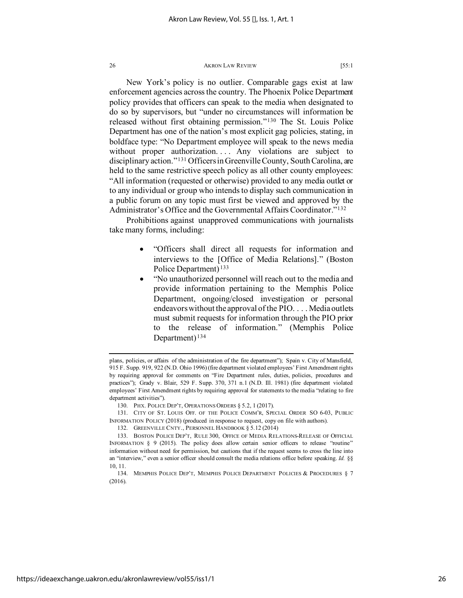New York's policy is no outlier. Comparable gags exist at law enforcement agencies across the country. The Phoenix Police Department policy provides that officers can speak to the media when designated to do so by supervisors, but "under no circumstances will information be released without first obtaining permission."[130](#page-26-0) The St. Louis Police Department has one of the nation's most explicit gag policies, stating, in boldface type: "No Department employee will speak to the news media without proper authorization.... Any violations are subject to disciplinary action."[131](#page-26-1) Officers in Greenville County, South Carolina, are held to the same restrictive speech policy as all other county employees: "All information (requested or otherwise) provided to any media outlet or to any individual or group who intends to display such communication in a public forum on any topic must first be viewed and approved by the Administrator's Office and the Governmental Affairs Coordinator."[132](#page-26-2)

Prohibitions against unapproved communications with journalists take many forms, including:

- "Officers shall direct all requests for information and interviews to the [Office of Media Relations]." (Boston Police Department) [133](#page-26-3)
- "No unauthorized personnel will reach out to the media and provide information pertaining to the Memphis Police Department, ongoing/closed investigation or personal endeavors without the approval of the PIO. . . . Media outlets must submit requests for information through the PIO prior to the release of information." (Memphis Police Department) [134](#page-26-4)

<span id="page-26-1"></span><span id="page-26-0"></span>131. CITY OF ST. LOUIS OFF. OF THE POLICE COMM'R, SPECIAL ORDER SO 6-03, PUBLIC INFORMATION POLICY (2018) (produced in response to request, copy on file with authors).

plans, policies, or affairs of the administration of the fire department"); Spain v. City of Mansfield, 915 F. Supp. 919, 922 (N.D. Ohio 1996) (fire department violated employees' First Amendment rights by requiring approval for comments on "Fire Department rules, duties, policies, procedures and practices"); Grady v. Blair, 529 F. Supp. 370, 371 n.1 (N.D. Ill. 1981) (fire department violated employees' First Amendment rights by requiring approval for statements to the media "relating to fire department activities").

<sup>130.</sup> PHX. POLICE DEP'T, OPERATIONS ORDERS § 5.2, 1 (2017).

<sup>132.</sup> GREENVILLE CNTY., PERSONNEL HANDBOOK § 5.12 (2014)

<span id="page-26-3"></span><span id="page-26-2"></span><sup>133.</sup> BOSTON POLICE DEP'T, RULE 300, OFFICE OF MEDIA RELATIONS-RELEASE OF OFFICIAL INFORMATION § 9 (2015). The policy does allow certain senior officers to release "routine" information without need for permission, but cautions that if the request seems to cross the line into an "interview," even a senior officer should consult the media relations office before speaking. *Id.* §§ 10, 11.

<span id="page-26-4"></span><sup>134.</sup> MEMPHIS POLICE DEP'T, MEMPHIS POLICE DEPARTMENT POLICIES & PROCEDURES § 7 (2016).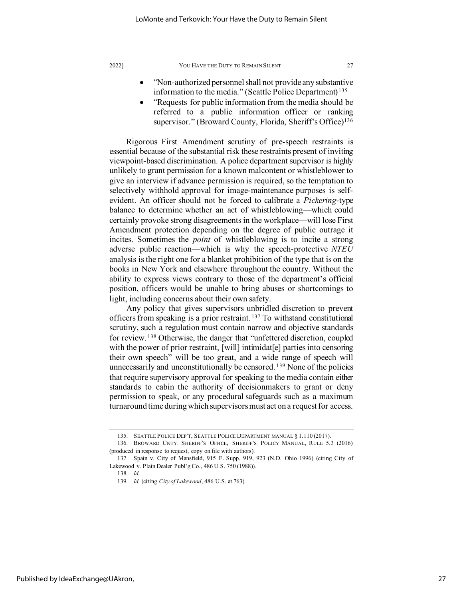- "Non-authorized personnel shall not provide any substantive information to the media." (Seattle Police Department) [135](#page-27-0)
- "Requests for public information from the media should be referred to a public information officer or ranking supervisor." (Broward County, Florida, Sheriff's Office)<sup>[136](#page-27-1)</sup>

Rigorous First Amendment scrutiny of pre-speech restraints is essential because of the substantial risk these restraints present of inviting viewpoint-based discrimination. A police department supervisor is highly unlikely to grant permission for a known malcontent or whistleblower to give an interview if advance permission is required, so the temptation to selectively withhold approval for image-maintenance purposes is selfevident. An officer should not be forced to calibrate a *Pickering*-type balance to determine whether an act of whistleblowing—which could certainly provoke strong disagreements in the workplace—will lose First Amendment protection depending on the degree of public outrage it incites. Sometimes the *point* of whistleblowing is to incite a strong adverse public reaction—which is why the speech-protective *NTEU* analysis is the right one for a blanket prohibition of the type that is on the books in New York and elsewhere throughout the country. Without the ability to express views contrary to those of the department's official position, officers would be unable to bring abuses or shortcomings to light, including concerns about their own safety.

Any policy that gives supervisors unbridled discretion to prevent officers from speaking is a prior restraint. [137](#page-27-2) To withstand constitutional scrutiny, such a regulation must contain narrow and objective standards for review. [138](#page-27-3) Otherwise, the danger that "unfettered discretion, coupled with the power of prior restraint, [will] intimidat[e] parties into censoring their own speech" will be too great, and a wide range of speech will unnecessarily and unconstitutionally be censored. <sup>[139](#page-27-4)</sup> None of the policies that require supervisory approval for speaking to the media contain either standards to cabin the authority of decisionmakers to grant or deny permission to speak, or any procedural safeguards such as a maximum turnaround time during which supervisors must act on a request for access.

<sup>135.</sup> SEATTLE POLICE DEP'T, SEATTLE POLICE DEPARTMENT MANUAL § 1.110 (2017).

<span id="page-27-1"></span><span id="page-27-0"></span><sup>136.</sup> BROWARD CNTY. SHERIFF'S OFFICE, SHERIFF'S POLICY MANUAL, RULE 5.3 (2016) (produced in response to request, copy on file with authors).

<span id="page-27-4"></span><span id="page-27-3"></span><span id="page-27-2"></span><sup>137.</sup> Spain v. City of Mansfield, 915 F. Supp. 919, 923 (N.D. Ohio 1996) (citing City of Lakewood v. Plain Dealer Publ'g Co., 486 U.S. 750 (1988)).

<sup>138</sup>*. Id*.

<sup>139</sup>*. Id.* (citing *City of Lakewood*, 486 U.S. at 763).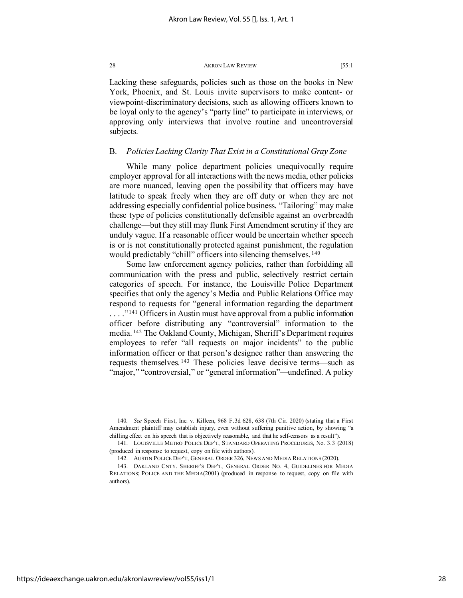Lacking these safeguards, policies such as those on the books in New York, Phoenix, and St. Louis invite supervisors to make content- or viewpoint-discriminatory decisions, such as allowing officers known to be loyal only to the agency's "party line" to participate in interviews, or approving only interviews that involve routine and uncontroversial subjects.

# B. *Policies Lacking Clarity That Exist in a Constitutional Gray Zone*

While many police department policies unequivocally require employer approval for all interactions with the news media, other policies are more nuanced, leaving open the possibility that officers may have latitude to speak freely when they are off duty or when they are not addressing especially confidential police business. "Tailoring" may make these type of policies constitutionally defensible against an overbreadth challenge—but they still may flunk First Amendment scrutiny if they are unduly vague. If a reasonable officer would be uncertain whether speech is or is not constitutionally protected against punishment, the regulation would predictably "chill" officers into silencing themselves. <sup>[140](#page-28-0)</sup>

Some law enforcement agency policies, rather than forbidding all communication with the press and public, selectively restrict certain categories of speech. For instance, the Louisville Police Department specifies that only the agency's Media and Public Relations Office may respond to requests for "general information regarding the department ...."<sup>[141](#page-28-1)</sup> Officers in Austin must have approval from a public information officer before distributing any "controversial" information to the media. [142](#page-28-2) The Oakland County, Michigan, Sheriff's Department requires employees to refer "all requests on major incidents" to the public information officer or that person's designee rather than answering the requests themselves. [143](#page-28-3) These policies leave decisive terms—such as "major," "controversial," or "general information"—undefined. A policy

<span id="page-28-0"></span><sup>140</sup>*. See* Speech First, Inc. v. Killeen, 968 F.3d 628, 638 (7th Cir. 2020) (stating that a First Amendment plaintiff may establish injury, even without suffering punitive action, by showing "a chilling effect on his speech that is objectively reasonable, and that he self-censors as a result").

<span id="page-28-1"></span><sup>141.</sup> LOUISVILLE METRO POLICE DEP'T, STANDARD OPERATING PROCEDURES, No. 3.3 (2018) (produced in response to request, copy on file with authors).

<sup>142.</sup> AUSTIN POLICE DEP'T, GENERAL ORDER 326, NEWS AND MEDIA RELATIONS (2020).

<span id="page-28-3"></span><span id="page-28-2"></span><sup>143.</sup> OAKLAND CNTY. SHERIFF'S DEP'T, GENERAL ORDER NO. 4, GUIDELINES FOR MEDIA RELATIONS; POLICE AND THE MEDIA(2001) (produced in response to request, copy on file with authors).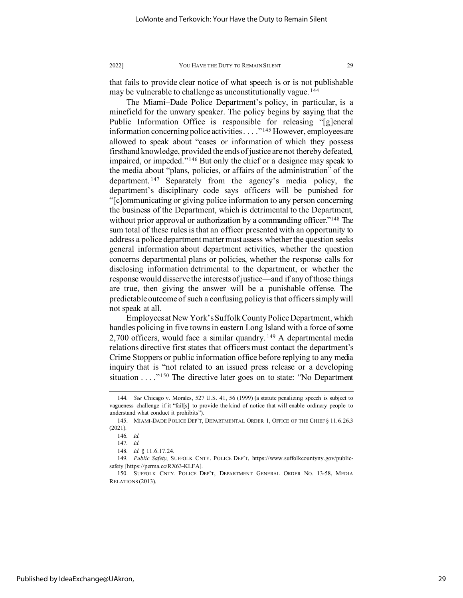that fails to provide clear notice of what speech is or is not publishable may be vulnerable to challenge as unconstitutionally vague.<sup>[144](#page-29-0)</sup>

The Miami–Dade Police Department's policy, in particular, is a minefield for the unwary speaker. The policy begins by saying that the Public Information Office is responsible for releasing "[g]eneral information concerning police activities . . . . "<sup>[145](#page-29-1)</sup> However, employees are allowed to speak about "cases or information of which they possess firsthand knowledge, provided the ends of justice are not thereby defeated, impaired, or impeded."[146](#page-29-2) But only the chief or a designee may speak to the media about "plans, policies, or affairs of the administration" of the department. [147](#page-29-3) Separately from the agency's media policy, the department's disciplinary code says officers will be punished for "[c]ommunicating or giving police information to any person concerning the business of the Department, which is detrimental to the Department, without prior approval or authorization by a commanding officer."<sup>[148](#page-29-4)</sup> The sum total of these rules is that an officer presented with an opportunity to address a police department matter must assess whether the question seeks general information about department activities, whether the question concerns departmental plans or policies, whether the response calls for disclosing information detrimental to the department, or whether the response would disserve the interests of justice—and if any of those things are true, then giving the answer will be a punishable offense. The predictable outcome of such a confusing policy is that officers simply will not speak at all.

Employees at New York's Suffolk County Police Department, which handles policing in five towns in eastern Long Island with a force of some 2,700 officers, would face a similar quandry. [149](#page-29-5) A departmental media relations directive first states that officers must contact the department's Crime Stoppers or public information office before replying to any media inquiry that is "not related to an issued press release or a developing situation . . . . "<sup>[150](#page-29-6)</sup> The directive later goes on to state: "No Department

<span id="page-29-0"></span><sup>144</sup>*. See* Chicago v. Morales, 527 U.S. 41, 56 (1999) (a statute penalizing speech is subject to vagueness challenge if it "fail[s] to provide the kind of notice that will enable ordinary people to understand what conduct it prohibits").

<span id="page-29-2"></span><span id="page-29-1"></span><sup>145.</sup> MIAMI-DADE POLICE DEP'T, DEPARTMENTAL ORDER 1, OFFICE OF THE CHIEF § 11.6.26.3 (2021).

<sup>146</sup>*. Id.*

<sup>147</sup>*. Id.*

<sup>148</sup>*. Id.* § 11.6.17.24.

<span id="page-29-4"></span><span id="page-29-3"></span><sup>149</sup>*. Public Safety*, SUFFOLK CNTY. POLICE DEP'T, https://www.suffolkcountyny.gov/publicsafety [https://perma.cc/RX63-KLFA].

<span id="page-29-6"></span><span id="page-29-5"></span><sup>150.</sup> SUFFOLK CNTY. POLICE DEP'T, DEPARTMENT GENERAL ORDER NO. 13-58, MEDIA RELATIONS (2013).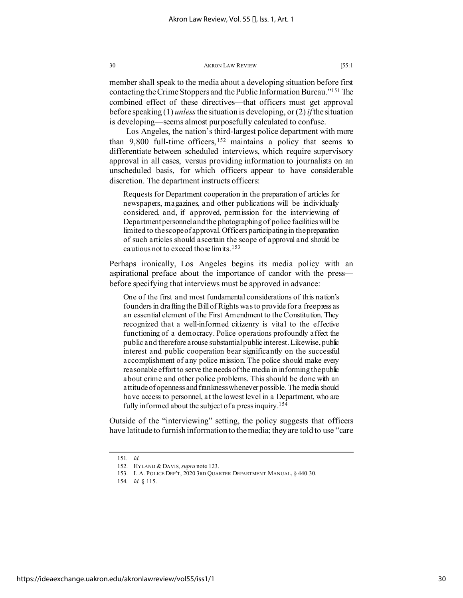member shall speak to the media about a developing situation before first contacting the Crime Stoppers and the Public Information Bureau.["151](#page-30-0) The combined effect of these directives—that officers must get approval before speaking (1) *unless*the situation is developing, or (2) *if* the situation is developing—seems almost purposefully calculated to confuse.

Los Angeles, the nation's third-largest police department with more than 9,800 full-time officers,  $152$  maintains a policy that seems to differentiate between scheduled interviews, which require supervisory approval in all cases, versus providing information to journalists on an unscheduled basis, for which officers appear to have considerable discretion. The department instructs officers:

Requests for Department cooperation in the preparation of articles for newspapers, magazines, and other publications will be individually considered, and, if approved, permission for the interviewing of Department personnel and the photographing of police facilities will be limited to the scope of approval. Officers participating in the preparation of such articles should ascertain the scope of approval and should be cautious not to exceed those limits.[153](#page-30-2)

Perhaps ironically, Los Angeles begins its media policy with an aspirational preface about the importance of candor with the press before specifying that interviews must be approved in advance:

One of the first and most fundamental considerations of this nation's founders in drafting the Bill of Rights was to provide for a free press as an essential element of the First Amendment to the Constitution. They recognized that a well-informed citizenry is vital to the effective functioning of a democracy. Police operations profoundly affect the public and therefore arouse substantial public interest. Likewise, public interest and public cooperation bear significantly on the successful accomplishment of any police mission. The police should make every reasonable effort to serve the needs of the media in informing the public about crime and other police problems. This should be done with an attitude of openness and frankness whenever possible. The media should have access to personnel, at the lowest level in a Department, who are fully informed about the subject of a press inquiry[.154](#page-30-3)

Outside of the "interviewing" setting, the policy suggests that officers have latitude to furnish information to the media; they are told to use "care

<span id="page-30-2"></span><span id="page-30-1"></span><span id="page-30-0"></span><sup>151</sup>*. Id.*

<sup>152.</sup> HYLAND & DAVIS, *supra* note 123.

<sup>153.</sup> L.A. POLICE DEP'T, 2020 3RD QUARTER DEPARTMENT MANUAL, § 440.30.

<span id="page-30-3"></span><sup>154</sup>*. Id.* § 115.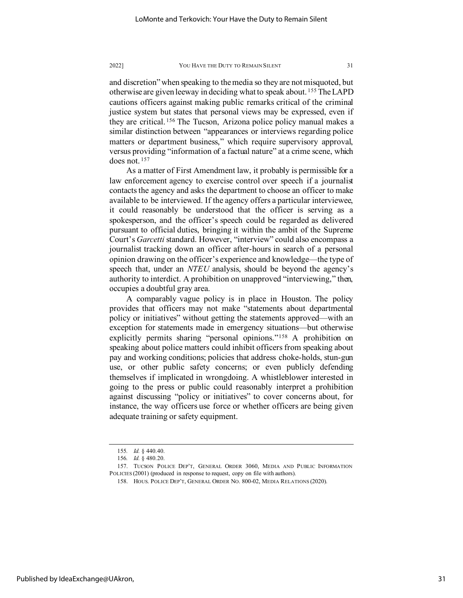and discretion" when speaking to the media so they are not misquoted, but otherwise are given leeway in deciding what to speak about. [155](#page-31-0) The LAPD cautions officers against making public remarks critical of the criminal justice system but states that personal views may be expressed, even if they are critical. [156](#page-31-1) The Tucson, Arizona police policy manual makes a similar distinction between "appearances or interviews regarding police matters or department business," which require supervisory approval, versus providing "information of a factual nature" at a crime scene, which does not. [157](#page-31-2)

As a matter of First Amendment law, it probably is permissible for a law enforcement agency to exercise control over speech if a journalist contacts the agency and asks the department to choose an officer to make available to be interviewed. If the agency offers a particular interviewee, it could reasonably be understood that the officer is serving as a spokesperson, and the officer's speech could be regarded as delivered pursuant to official duties, bringing it within the ambit of the Supreme Court's *Garcetti* standard. However, "interview" could also encompass a journalist tracking down an officer after-hours in search of a personal opinion drawing on the officer's experience and knowledge—the type of speech that, under an *NTEU* analysis, should be beyond the agency's authority to interdict. A prohibition on unapproved "interviewing," then, occupies a doubtful gray area.

A comparably vague policy is in place in Houston. The policy provides that officers may not make "statements about departmental policy or initiatives" without getting the statements approved—with an exception for statements made in emergency situations—but otherwise explicitly permits sharing "personal opinions."[158](#page-31-3) A prohibition on speaking about police matters could inhibit officers from speaking about pay and working conditions; policies that address choke-holds, stun-gun use, or other public safety concerns; or even publicly defending themselves if implicated in wrongdoing. A whistleblower interested in going to the press or public could reasonably interpret a prohibition against discussing "policy or initiatives" to cover concerns about, for instance, the way officers use force or whether officers are being given adequate training or safety equipment.

<sup>155</sup>*. Id.* § 440.40.

<sup>156</sup>*. Id.* § 480.20.

<span id="page-31-3"></span><span id="page-31-2"></span><span id="page-31-1"></span><span id="page-31-0"></span><sup>157.</sup> TUCSON POLICE DEP'T, GENERAL ORDER 3060, MEDIA AND PUBLIC INFORMATION POLICIES (2001) (produced in response to request, copy on file with authors).

<sup>158.</sup> HOUS. POLICE DEP'T, GENERAL ORDER NO. 800-02, MEDIA RELATIONS (2020).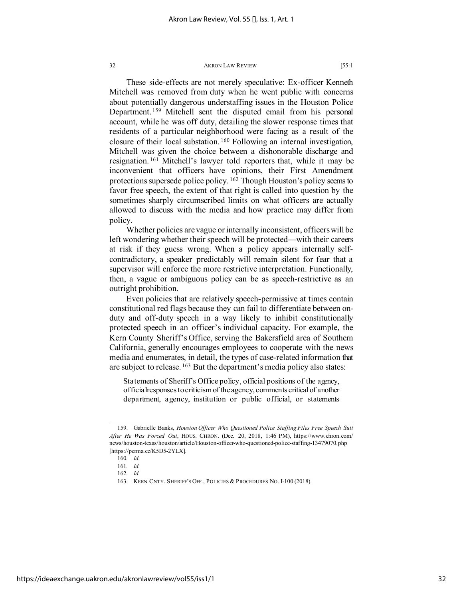These side-effects are not merely speculative: Ex-officer Kenneth Mitchell was removed from duty when he went public with concerns about potentially dangerous understaffing issues in the Houston Police Department. [159](#page-32-0) Mitchell sent the disputed email from his personal account, while he was off duty, detailing the slower response times that residents of a particular neighborhood were facing as a result of the closure of their local substation. [160](#page-32-1) Following an internal investigation, Mitchell was given the choice between a dishonorable discharge and resignation. [161](#page-32-2) Mitchell's lawyer told reporters that, while it may be inconvenient that officers have opinions, their First Amendment protections supersede police policy. [162](#page-32-3) Though Houston's policy seems to favor free speech, the extent of that right is called into question by the sometimes sharply circumscribed limits on what officers are actually allowed to discuss with the media and how practice may differ from policy.

Whether policies are vague or internally inconsistent, officers will be left wondering whether their speech will be protected—with their careers at risk if they guess wrong. When a policy appears internally selfcontradictory, a speaker predictably will remain silent for fear that a supervisor will enforce the more restrictive interpretation. Functionally, then, a vague or ambiguous policy can be as speech-restrictive as an outright prohibition.

Even policies that are relatively speech-permissive at times contain constitutional red flags because they can fail to differentiate between onduty and off-duty speech in a way likely to inhibit constitutionally protected speech in an officer's individual capacity. For example, the Kern County Sheriff's Office, serving the Bakersfield area of Southern California, generally encourages employees to cooperate with the news media and enumerates, in detail, the types of case-related information that are subject to release. <sup>[163](#page-32-4)</sup> But the department's media policy also states:

Statements of Sheriff's Office policy, official positions of the agency, officialresponses to criticism of the agency, comments critical of another department, agency, institution or public official, or statements

<span id="page-32-2"></span><span id="page-32-1"></span><span id="page-32-0"></span><sup>159.</sup> Gabrielle Banks, *Houston Officer Who Questioned Police Staffing Files Free Speech Suit After He Was Forced Out*, HOUS. CHRON. (Dec. 20, 2018, 1:46 PM), https://www.chron.com/ news/houston-texas/houston/article/Houston-officer-who-questioned-police-staffing-13479070.php [https://perma.cc/K5D5-2YLX].

<sup>160</sup>*. Id.*

<sup>161</sup>*. Id.*

<span id="page-32-3"></span><sup>162</sup>*. Id.*

<span id="page-32-4"></span><sup>163.</sup> KERN CNTY. SHERIFF'S OFF., POLICIES & PROCEDURES NO. I-100 (2018).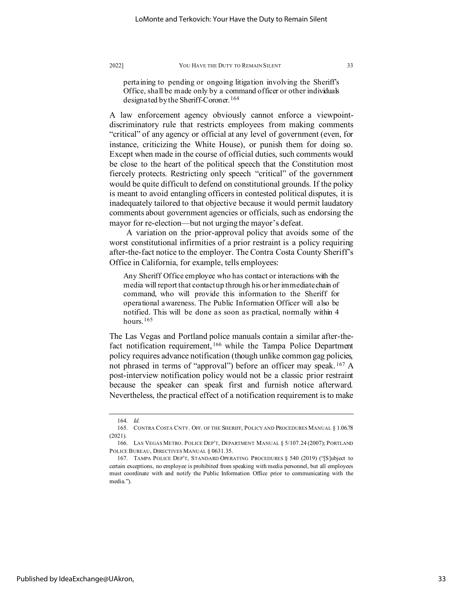pertaining to pending or ongoing litigation involving the Sheriff's Office, shall be made only by a command officer or other individuals designated by the Sheriff-Coroner.<sup>[164](#page-33-0)</sup>

A law enforcement agency obviously cannot enforce a viewpointdiscriminatory rule that restricts employees from making comments "critical" of any agency or official at any level of government (even, for instance, criticizing the White House), or punish them for doing so. Except when made in the course of official duties, such comments would be close to the heart of the political speech that the Constitution most fiercely protects. Restricting only speech "critical" of the government would be quite difficult to defend on constitutional grounds. If the policy is meant to avoid entangling officers in contested political disputes, it is inadequately tailored to that objective because it would permit laudatory comments about government agencies or officials, such as endorsing the mayor for re-election—but not urging the mayor's defeat.

A variation on the prior-approval policy that avoids some of the worst constitutional infirmities of a prior restraint is a policy requiring after-the-fact notice to the employer. The Contra Costa County Sheriff's Office in California, for example, tells employees:

Any Sheriff Office employee who has contact or interactions with the media will report that contact up through his or her immediate chain of command, who will provide this information to the Sheriff for operational awareness. The Public Information Officer will also be notified. This will be done as soon as practical, normally within 4 hours.<sup>[165](#page-33-1)</sup>

The Las Vegas and Portland police manuals contain a similar after-thefact notification requirement, [166](#page-33-2) while the Tampa Police Department policy requires advance notification (though unlike common gag policies, not phrased in terms of "approval") before an officer may speak. [167](#page-33-3) A post-interview notification policy would not be a classic prior restraint because the speaker can speak first and furnish notice afterward. Nevertheless, the practical effect of a notification requirement is to make

<sup>164</sup>*. Id.*

<span id="page-33-1"></span><span id="page-33-0"></span><sup>165.</sup> CONTRA COSTA CNTY. OFF. OF THE SHERIFF, POLICY AND PROCEDURES MANUAL § 1.06.78 (2021).

<span id="page-33-2"></span><sup>166.</sup> LAS VEGAS METRO. POLICE DEP'T, DEPARTMENT MANUAL § 5/107.24 (2007); PORTLAND POLICE BUREAU, DIRECTIVES MANUAL § 0631.35.

<span id="page-33-3"></span><sup>167.</sup> TAMPA POLICE DEP'T, STANDARD OPERATING PROCEDURES § 540 (2019) ("[S]ubject to certain exceptions, no employee is prohibited from speaking with media personnel, but all employees must coordinate with and notify the Public Information Office prior to communicating with the media.").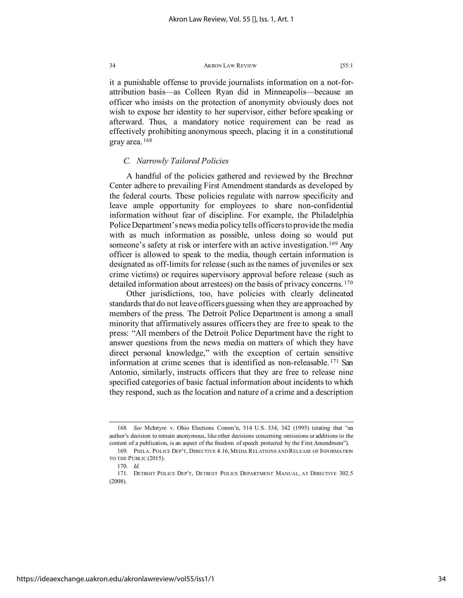it a punishable offense to provide journalists information on a not-forattribution basis—as Colleen Ryan did in Minneapolis—because an officer who insists on the protection of anonymity obviously does not wish to expose her identity to her supervisor, either before speaking or afterward. Thus, a mandatory notice requirement can be read as effectively prohibiting anonymous speech, placing it in a constitutional gray area. [168](#page-34-0)

# *C. Narrowly Tailored Policies*

A handful of the policies gathered and reviewed by the Brechner Center adhere to prevailing First Amendment standards as developed by the federal courts. These policies regulate with narrow specificity and leave ample opportunity for employees to share non-confidential information without fear of discipline. For example, the Philadelphia Police Department's news media policy tells officers to provide the media with as much information as possible, unless doing so would put someone's safety at risk or interfere with an active investigation.<sup>[169](#page-34-1)</sup> Any officer is allowed to speak to the media, though certain information is designated as off-limits for release (such as the names of juveniles or sex crime victims) or requires supervisory approval before release (such as detailed information about arrestees) on the basis of privacy concerns.<sup>[170](#page-34-2)</sup>

Other jurisdictions, too, have policies with clearly delineated standards that do not leave officers guessing when they are approached by members of the press. The Detroit Police Department is among a small minority that affirmatively assures officers they are free to speak to the press: "All members of the Detroit Police Department have the right to answer questions from the news media on matters of which they have direct personal knowledge," with the exception of certain sensitive information at crime scenes that is identified as non-releasable. [171](#page-34-3) San Antonio, similarly, instructs officers that they are free to release nine specified categories of basic factual information about incidents to which they respond, such as the location and nature of a crime and a description

<span id="page-34-0"></span><sup>168</sup>*. See* McIntyre v. Ohio Elections Comm'n, 514 U.S. 334, 342 (1995) (stating that "an author's decision to remain anonymous, like other decisions concerning omissions or additions to the content of a publication, is an aspect of the freedom of speech protected by the First Amendment"). 169. PHILA. POLICE DEP'T, DIRECTIVE 4.16, MEDIA RELATIONS AND RELEASE OF INFORMATION

<span id="page-34-1"></span>TO THE PUBLIC (2015).

<sup>170</sup>*. Id.*

<span id="page-34-3"></span><span id="page-34-2"></span><sup>171.</sup> DETROIT POLICE DEP'T, DETROIT POLICE DEPARTMENT MANUAL, AT DIRECTIVE 302.5 (2008).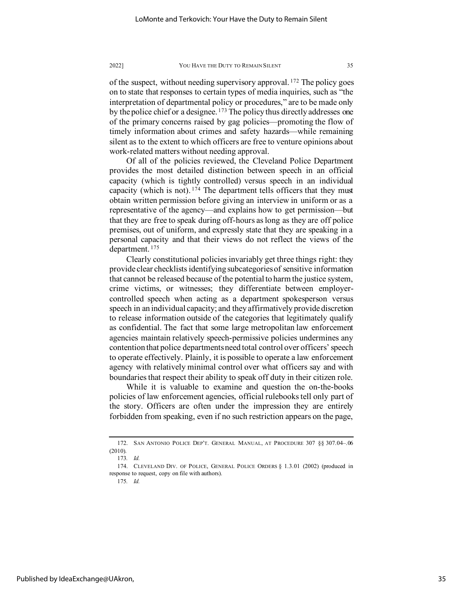of the suspect, without needing supervisory approval. [172](#page-35-0) The policy goes on to state that responses to certain types of media inquiries, such as "the interpretation of departmental policy or procedures," are to be made only by the police chief or a designee. <sup>[173](#page-35-1)</sup> The policy thus directly addresses one of the primary concerns raised by gag policies—promoting the flow of timely information about crimes and safety hazards—while remaining silent as to the extent to which officers are free to venture opinions about work-related matters without needing approval.

Of all of the policies reviewed, the Cleveland Police Department provides the most detailed distinction between speech in an official capacity (which is tightly controlled) versus speech in an individual capacity (which is not).  $174$  The department tells officers that they must obtain written permission before giving an interview in uniform or as a representative of the agency—and explains how to get permission—but that they are free to speak during off-hours as long as they are off police premises, out of uniform, and expressly state that they are speaking in a personal capacity and that their views do not reflect the views of the department. [175](#page-35-3)

Clearly constitutional policies invariably get three things right: they provide clear checklists identifying subcategories of sensitive information that cannot be released because of the potential to harm the justice system, crime victims, or witnesses; they differentiate between employercontrolled speech when acting as a department spokesperson versus speech in an individual capacity; and they affirmatively provide discretion to release information outside of the categories that legitimately qualify as confidential. The fact that some large metropolitan law enforcement agencies maintain relatively speech-permissive policies undermines any contention that police departments need total control over officers' speech to operate effectively. Plainly, it is possible to operate a law enforcement agency with relatively minimal control over what officers say and with boundaries that respect their ability to speak off duty in their citizen role.

While it is valuable to examine and question the on-the-books policies of law enforcement agencies, official rulebooks tell only part of the story. Officers are often under the impression they are entirely forbidden from speaking, even if no such restriction appears on the page,

<span id="page-35-0"></span><sup>172.</sup> SAN ANTONIO POLICE DEP'T. GENERAL MANUAL, AT PROCEDURE 307 §§ 307.04–.06 (2010).

<sup>173</sup>*. Id.*

<span id="page-35-3"></span><span id="page-35-2"></span><span id="page-35-1"></span><sup>174.</sup> CLEVELAND DIV. OF POLICE, GENERAL POLICE ORDERS § 1.3.01 (2002) (produced in response to request, copy on file with authors).

<sup>175</sup>*. Id.*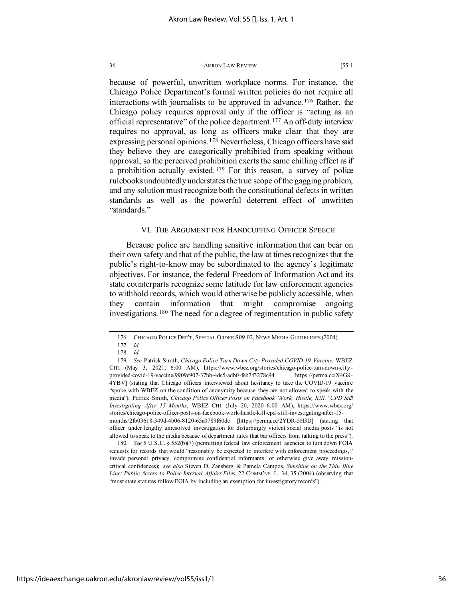because of powerful, unwritten workplace norms. For instance, the Chicago Police Department's formal written policies do not require all interactions with journalists to be approved in advance. [176](#page-36-0) Rather, the Chicago policy requires approval only if the officer is "acting as an official representative" of the police department.[177](#page-36-1) An off-duty interview requires no approval, as long as officers make clear that they are expressing personal opinions. [178](#page-36-2) Nevertheless, Chicago officers have said they believe they are categorically prohibited from speaking without approval, so the perceived prohibition exerts the same chilling effect as if a prohibition actually existed. [179](#page-36-3) For this reason, a survey of police rulebooks undoubtedly understates the true scope of the gagging problem, and any solution must recognize both the constitutional defects in written standards as well as the powerful deterrent effect of unwritten "standards."

# VI. THE ARGUMENT FOR HANDCUFFING OFFICER SPEECH

Because police are handling sensitive information that can bear on their own safety and that of the public, the law at times recognizes that the public's right-to-know may be subordinated to the agency's legitimate objectives. For instance, the federal Freedom of Information Act and its state counterparts recognize some latitude for law enforcement agencies to withhold records, which would otherwise be publicly accessible, when they contain information that might compromise ongoing investigations. [180](#page-36-4) The need for a degree of regimentation in public safety

<span id="page-36-4"></span>180*. See* 5 U.S.C. § 552(b)(7) (permitting federal law enforcement agencies to turn down FOIA requests for records that would "reasonably be expected to interfere with enforcement proceedings, " invade personal privacy, compromise confidential informants, or otherwise give away missioncritical confidences); *see also* Steven D. Zansberg & Pamela Campos, *Sunshine on the Thin Blue Line: Public Access to Police Internal Affairs Files*, 22 COMM'NS. L. 34, 35 (2004) (observing that "most state statutes follow FOIA by including an exemption for investigatory records").

<sup>176.</sup> CHICAGO POLICE DEP'T, SPECIAL ORDER S09-02, NEWS MEDIA GUIDELINES (2004).

<sup>177</sup>*. Id.*

<sup>178</sup>*. Id.*

<span id="page-36-3"></span><span id="page-36-2"></span><span id="page-36-1"></span><span id="page-36-0"></span><sup>179</sup>*. See* Patrick Smith, *Chicago Police Turn Down City-Provided COVID-19 Vaccine*, WBEZ CHI. (May 3, 2021, 6:00 AM), https://www.wbez.org/stories/chicago-police-turn-down-cityprovided-covid-19-vaccine/9909c907-37bb-4dc5-adb0-feb7f3278c94 [https://perma.cc/X4G8- 4YBV] (stating that Chicago officers interviewed about hesitancy to take the COVID-19 vaccine "spoke with WBEZ on the condition of anonymity because they are not allowed to speak with the media"); Patrick Smith, *Chicago Police Officer Posts on Facebook 'Work, Hustle, Kill.' CPD Still Investigating After 15 Months*, WBEZ CHI. (July 20, 2020 6:00 AM), https://www.wbez.org/ stories/chicago-police-officer-posts-on-facebook-work-hustle-kill-cpd-still-investigating-after-15 months/2fb03618-349d-4b06-8120-65a0789f60dc [https://perma.cc/2YDR-5H3D] (stating that officer under lengthy unresolved investigation for disturbingly violent social media posts "is not allowed to speak to the media because of department rules that bar officers from talking to the press").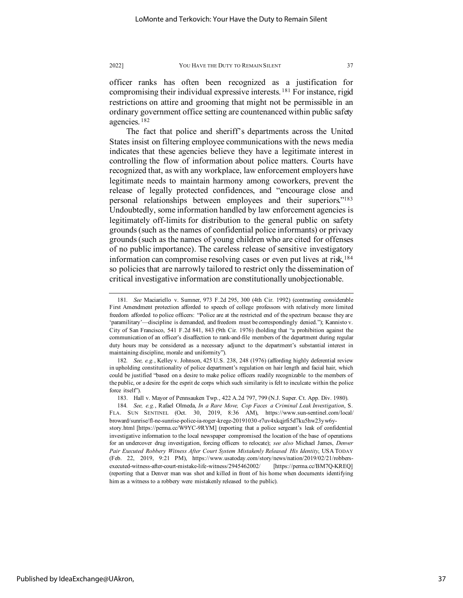officer ranks has often been recognized as a justification for compromising their individual expressive interests. [181](#page-37-0) For instance, rigid restrictions on attire and grooming that might not be permissible in an ordinary government office setting are countenanced within public safety agencies. [182](#page-37-1)

The fact that police and sheriff's departments across the United States insist on filtering employee communications with the news media indicates that these agencies believe they have a legitimate interest in controlling the flow of information about police matters. Courts have recognized that, as with any workplace, law enforcement employers have legitimate needs to maintain harmony among coworkers, prevent the release of legally protected confidences, and "encourage close and personal relationships between employees and their superiors.["183](#page-37-2) Undoubtedly, some information handled by law enforcement agencies is legitimately off-limits for distribution to the general public on safety grounds (such as the names of confidential police informants) or privacy grounds (such as the names of young children who are cited for offenses of no public importance). The careless release of sensitive investigatory information can compromise resolving cases or even put lives at risk,<sup>[184](#page-37-3)</sup> so policies that are narrowly tailored to restrict only the dissemination of critical investigative information are constitutionally unobjectionable.

<span id="page-37-0"></span><sup>181</sup>*. See* Maciariello v. Sumner, 973 F.2d 295, 300 (4th Cir. 1992) (contrasting considerable First Amendment protection afforded to speech of college professors with relatively more limited freedom afforded to police officers: "Police are at the restricted end of the spectrum because they are 'paramilitary'—discipline is demanded, and freedom must be correspondingly denied."); Kannisto v. City of San Francisco, 541 F.2d 841, 843 (9th Cir. 1976) (holding that "a prohibition against the communication of an officer's disaffection to rank-and-file members of the department during regular duty hours may be considered as a necessary adjunct to the department's substantial interest in maintaining discipline, morale and uniformity").

<span id="page-37-1"></span><sup>182</sup>*. See, e.g.*, Kelley v. Johnson, 425 U.S. 238, 248 (1976) (affording highly deferential review in upholding constitutionality of police department's regulation on hair length and facial hair, which could be justified "based on a desire to make police officers readily recognizable to the members of the public, or a desire for the esprit de corps which such similarity is felt to inculcate within the police force itself").

<sup>183.</sup> Hall v. Mayor of Pennsauken Twp., 422 A.2d 797, 799 (N.J. Super. Ct. App. Div. 1980).

<span id="page-37-3"></span><span id="page-37-2"></span><sup>184</sup>*. See, e.g.*, Rafael Olmeda, *In a Rare Move, Cop Faces a Criminal Leak Investigation*, S. FLA. SUN SENTINEL (Oct. 30, 2019, 8:36 AM), https://www.sun-sentinel.com/local/ broward/sunrise/fl-ne-sunrise-police-ia-roger-krege-20191030-r7uv4xkqjrfi5d7ku5hw23yw6ystory.html [https://perma.cc/W9YC-9RYM] (reporting that a police sergeant's leak of confidential investigative information to the local newspaper compromised the location of the base of operations for an undercover drug investigation, forcing officers to relocate); *see also* Michael James, *Denver Pair Executed Robbery Witness After Court System Mistakenly Released His Identity*, USA TODAY

<sup>(</sup>Feb. 22, 2019, 9:21 PM), https://www.usatoday.com/story/news/nation/2019/02/21/robbersexecuted-witness-after-court-mistake-life-witness/2945462002/ [https://perma.cc/BM7Q-KREQ] (reporting that a Denver man was shot and killed in front of his home when documents identifying him as a witness to a robbery were mistakenly released to the public).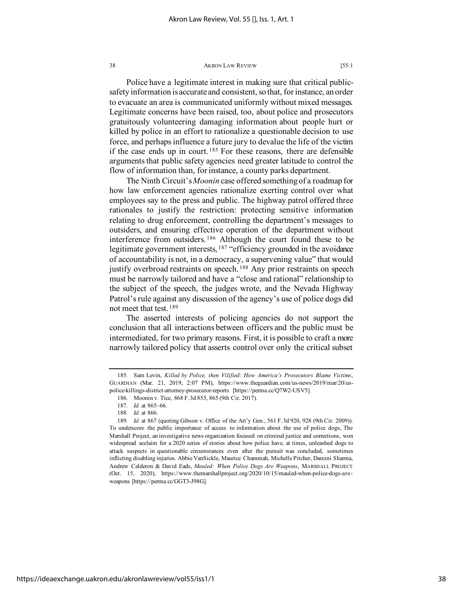Police have a legitimate interest in making sure that critical publicsafety information is accurate and consistent, so that, for instance, an order to evacuate an area is communicated uniformly without mixed messages. Legitimate concerns have been raised, too, about police and prosecutors gratuitously volunteering damaging information about people hurt or killed by police in an effort to rationalize a questionable decision to use force, and perhaps influence a future jury to devalue the life of the victim if the case ends up in court. [185](#page-38-0) For these reasons, there are defensible arguments that public safety agencies need greater latitude to control the flow of information than, for instance, a county parks department.

The Ninth Circuit's *Moonin* case offered something of a roadmap for how law enforcement agencies rationalize exerting control over what employees say to the press and public. The highway patrol offered three rationales to justify the restriction: protecting sensitive information relating to drug enforcement, controlling the department's messages to outsiders, and ensuring effective operation of the department without interference from outsiders. [186](#page-38-1) Although the court found these to be legitimate government interests, <sup>[187](#page-38-2)</sup> "efficiency grounded in the avoidance of accountability is not, in a democracy, a supervening value" that would justify overbroad restraints on speech.<sup>[188](#page-38-3)</sup> Any prior restraints on speech must be narrowly tailored and have a "close and rational" relationship to the subject of the speech, the judges wrote, and the Nevada Highway Patrol's rule against any discussion of the agency's use of police dogs did not meet that test. [189](#page-38-4)

The asserted interests of policing agencies do not support the conclusion that all interactions between officers and the public must be intermediated, for two primary reasons. First, it is possible to craft a more narrowly tailored policy that asserts control over only the critical subset

<span id="page-38-1"></span><span id="page-38-0"></span><sup>185.</sup> Sam Levin, *Killed by Police, then Vilified: How America's Prosecutors Blame Victims*, GUARDIAN (Mar. 21, 2019, 2:07 PM), https://www.theguardian.com/us-news/2019/mar/20/uspolice-killings-district-attorney-prosecutor-reports [https://perma.cc/Q7W2-USV5].

<sup>186.</sup> Moonin v. Tice, 868 F.3d 853, 865 (9th Cir. 2017).

<sup>187</sup>*. Id.* at 865–66.

<sup>188</sup>*. Id.* at 866.

<span id="page-38-4"></span><span id="page-38-3"></span><span id="page-38-2"></span><sup>189</sup>*. Id.* at 867 (quoting Gibson v. Office of the Att'y Gen., 561 F.3d 920, 928 (9th Cir. 2009)). To underscore the public importance of access to information about the use of police dogs, The Marshall Project, an investigative news organization focused on criminal justice and corrections, won widespread acclaim for a 2020 series of stories about how police have, at times, unleashed dogs to attack suspects in questionable circumstances even after the pursuit was concluded, sometimes inflicting disabling injuries. Abbie VanSickle, Maurice Chammah, Michelle Pitcher, Damini Sharma, Andrew Calderon & David Eads, *Mauled: When Police Dogs Are Weapons*, MARSHALL PROJECT (Oct. 15, 2020), https://www.themarshallproject.org/2020/10/15/mauled-when-police-dogs-areweapons [https://perma.cc/GGT3-J98G].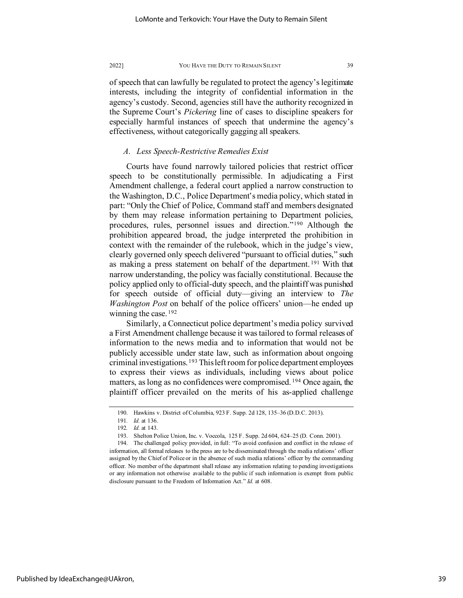of speech that can lawfully be regulated to protect the agency's legitimate interests, including the integrity of confidential information in the agency's custody. Second, agencies still have the authority recognized in the Supreme Court's *Pickering* line of cases to discipline speakers for especially harmful instances of speech that undermine the agency's effectiveness, without categorically gagging all speakers.

# *A. Less Speech-Restrictive Remedies Exist*

Courts have found narrowly tailored policies that restrict officer speech to be constitutionally permissible. In adjudicating a First Amendment challenge, a federal court applied a narrow construction to the Washington, D.C., Police Department's media policy, which stated in part: "Only the Chief of Police, Command staff and members designated by them may release information pertaining to Department policies, procedures, rules, personnel issues and direction."[190](#page-39-0) Although the prohibition appeared broad, the judge interpreted the prohibition in context with the remainder of the rulebook, which in the judge's view, clearly governed only speech delivered "pursuant to official duties," such as making a press statement on behalf of the department. [191](#page-39-1) With that narrow understanding, the policy was facially constitutional. Because the policy applied only to official-duty speech, and the plaintiff was punished for speech outside of official duty—giving an interview to *The Washington Post* on behalf of the police officers' union—he ended up winning the case. <sup>[192](#page-39-2)</sup>

Similarly, a Connecticut police department's media policy survived a First Amendment challenge because it was tailored to formal releases of information to the news media and to information that would not be publicly accessible under state law, such as information about ongoing criminal investigations. [193](#page-39-3) This left room for police department employees to express their views as individuals, including views about police matters, as long as no confidences were compromised. [194](#page-39-4) Once again, the plaintiff officer prevailed on the merits of his as-applied challenge

<sup>190.</sup> Hawkins v. District of Columbia, 923 F. Supp. 2d 128, 135–36 (D.D.C. 2013).

<sup>191</sup>*. Id.* at 136.

<sup>192</sup>*. Id.* at 143.

<sup>193.</sup> Shelton Police Union, Inc. v. Voccola, 125 F. Supp. 2d 604, 624–25 (D. Conn. 2001).

<span id="page-39-4"></span><span id="page-39-3"></span><span id="page-39-2"></span><span id="page-39-1"></span><span id="page-39-0"></span><sup>194.</sup> The challenged policy provided, in full: "To avoid confusion and conflict in the release of information, all formal releases to the press are to be disseminated through the media relations' officer assigned by the Chief of Police or in the absence of such media relations' officer by the commanding officer. No member of the department shall release any information relating to pending investigations or any information not otherwise available to the public if such information is exempt from public disclosure pursuant to the Freedom of Information Act." *Id.* at 608.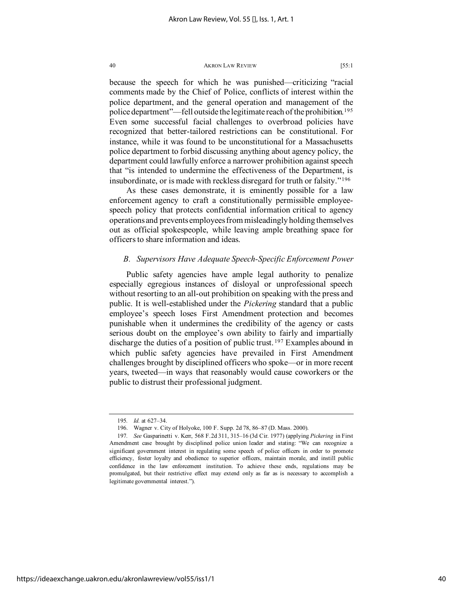because the speech for which he was punished—criticizing "racial comments made by the Chief of Police, conflicts of interest within the police department, and the general operation and management of the police department"—fell outside the legitimate reach of the prohibition.<sup>[195](#page-40-0)</sup> Even some successful facial challenges to overbroad policies have recognized that better-tailored restrictions can be constitutional. For instance, while it was found to be unconstitutional for a Massachusetts police department to forbid discussing anything about agency policy, the department could lawfully enforce a narrower prohibition against speech that "is intended to undermine the effectiveness of the Department, is insubordinate, or is made with reckless disregard for truth or falsity."[196](#page-40-1)

As these cases demonstrate, it is eminently possible for a law enforcement agency to craft a constitutionally permissible employeespeech policy that protects confidential information critical to agency operations and prevents employees from misleadingly holding themselves out as official spokespeople, while leaving ample breathing space for officers to share information and ideas.

# *B. Supervisors Have Adequate Speech-Specific Enforcement Power*

Public safety agencies have ample legal authority to penalize especially egregious instances of disloyal or unprofessional speech without resorting to an all-out prohibition on speaking with the press and public. It is well-established under the *Pickering* standard that a public employee's speech loses First Amendment protection and becomes punishable when it undermines the credibility of the agency or casts serious doubt on the employee's own ability to fairly and impartially discharge the duties of a position of public trust. [197](#page-40-2) Examples abound in which public safety agencies have prevailed in First Amendment challenges brought by disciplined officers who spoke—or in more recent years, tweeted—in ways that reasonably would cause coworkers or the public to distrust their professional judgment.

<sup>195</sup>*. Id.* at 627–34.

<sup>196.</sup> Wagner v. City of Holyoke, 100 F. Supp. 2d 78, 86–87 (D. Mass. 2000).

<span id="page-40-2"></span><span id="page-40-1"></span><span id="page-40-0"></span><sup>197</sup>*. See* Gasparinetti v. Kerr, 568 F.2d 311, 315–16 (3d Cir. 1977) (applying *Pickering* in First Amendment case brought by disciplined police union leader and stating: "We can recognize a significant government interest in regulating some speech of police officers in order to promote efficiency, foster loyalty and obedience to superior officers, maintain morale, and instill public confidence in the law enforcement institution. To achieve these ends, regulations may be promulgated, but their restrictive effect may extend only as far as is necessary to accomplish a legitimate governmental interest.").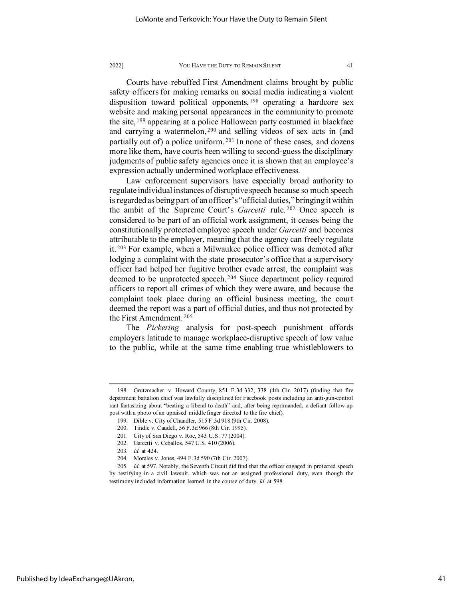Courts have rebuffed First Amendment claims brought by public safety officers for making remarks on social media indicating a violent disposition toward political opponents, [198](#page-41-0) operating a hardcore sex website and making personal appearances in the community to promote the site, [199](#page-41-1) appearing at a police Halloween party costumed in blackface and carrying a watermelon,<sup>[200](#page-41-2)</sup> and selling videos of sex acts in (and partially out of) a police uniform.<sup>[201](#page-41-3)</sup> In none of these cases, and dozens more like them, have courts been willing to second-guess the disciplinary judgments of public safety agencies once it is shown that an employee's expression actually undermined workplace effectiveness.

Law enforcement supervisors have especially broad authority to regulate individual instances of disruptive speech because so much speech is regarded as being part of an officer's "official duties," bringing it within the ambit of the Supreme Court's *Garcetti* rule. [202](#page-41-4) Once speech is considered to be part of an official work assignment, it ceases being the constitutionally protected employee speech under *Garcetti* and becomes attributable to the employer, meaning that the agency can freely regulate it.<sup>[203](#page-41-5)</sup> For example, when a Milwaukee police officer was demoted after lodging a complaint with the state prosecutor's office that a supervisory officer had helped her fugitive brother evade arrest, the complaint was deemed to be unprotected speech. [204](#page-41-6) Since department policy required officers to report all crimes of which they were aware, and because the complaint took place during an official business meeting, the court deemed the report was a part of official duties, and thus not protected by the First Amendment. [205](#page-41-7)

The *Pickering* analysis for post-speech punishment affords employers latitude to manage workplace-disruptive speech of low value to the public, while at the same time enabling true whistleblowers to

<span id="page-41-2"></span><span id="page-41-1"></span><span id="page-41-0"></span><sup>198.</sup> Grutzmacher v. Howard County, 851 F.3d 332, 338 (4th Cir. 2017) (finding that fire department battalion chief was lawfully disciplined for Facebook posts including an anti-gun-control rant fantasizing about "beating a liberal to death" and, after being reprimanded, a defiant follow-up post with a photo of an upraised middle finger directed to the fire chief).

<sup>199.</sup> Dible v. City of Chandler, 515 F.3d 918 (9th Cir. 2008).

<sup>200.</sup> Tindle v. Caudell, 56 F.3d 966 (8th Cir. 1995).

<sup>201.</sup> City of San Diego v. Roe, 543 U.S. 77 (2004).

<sup>202.</sup> Garcetti v. Ceballos, 547 U.S. 410 (2006).

<sup>203</sup>*. Id.* at 424.

<sup>204.</sup> Morales v. Jones, 494 F.3d 590 (7th Cir. 2007).

<span id="page-41-7"></span><span id="page-41-6"></span><span id="page-41-5"></span><span id="page-41-4"></span><span id="page-41-3"></span><sup>205</sup>*. Id.* at 597. Notably, the Seventh Circuit did find that the officer engaged in protected speech by testifying in a civil lawsuit, which was not an assigned professional duty, even though the testimony included information learned in the course of duty. *Id.* at 598.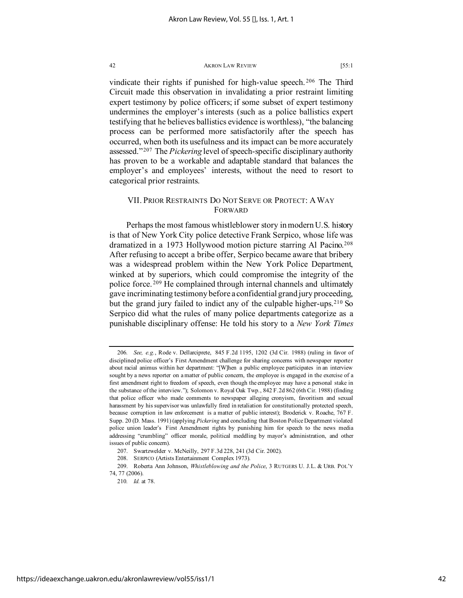vindicate their rights if punished for high-value speech.<sup>[206](#page-42-0)</sup> The Third Circuit made this observation in invalidating a prior restraint limiting expert testimony by police officers; if some subset of expert testimony undermines the employer's interests (such as a police ballistics expert testifying that he believes ballistics evidence is worthless), "the balancing process can be performed more satisfactorily after the speech has occurred, when both its usefulness and its impact can be more accurately assessed."[207](#page-42-1) The *Pickering* level of speech-specific disciplinary authority has proven to be a workable and adaptable standard that balances the employer's and employees' interests, without the need to resort to categorical prior restraints.

# VII. PRIOR RESTRAINTS DO NOT SERVE OR PROTECT: AWAY FORWARD

Perhaps the most famous whistleblower story in modern U.S. history is that of New York City police detective Frank Serpico, whose life was dramatized in a 1973 Hollywood motion picture starring Al Pacino.<sup>[208](#page-42-2)</sup> After refusing to accept a bribe offer, Serpico became aware that bribery was a widespread problem within the New York Police Department, winked at by superiors, which could compromise the integrity of the police force. [209](#page-42-3) He complained through internal channels and ultimately gave incriminating testimony before a confidential grand jury proceeding, but the grand jury failed to indict any of the culpable higher-ups.<sup>[210](#page-42-4)</sup> So Serpico did what the rules of many police departments categorize as a punishable disciplinary offense: He told his story to a *New York Times*

<span id="page-42-0"></span><sup>206</sup>*. See, e.g.*, Rode v. Dellarciprete, 845 F.2d 1195, 1202 (3d Cir. 1988) (ruling in favor of disciplined police officer's First Amendment challenge for sharing concerns with newspaper reporter about racial animus within her department: "[W]hen a public employee participates in an interview sought by a news reporter on a matter of public concern, the employee is engaged in the exercise of a first amendment right to freedom of speech, even though the employee may have a personal stake in the substance of the interview."); Solomon v. Royal Oak Twp., 842 F.2d 862 (6th Cir. 1988) (finding that police officer who made comments to newspaper alleging cronyism, favoritism and sexual harassment by his supervisor was unlawfully fired in retaliation for constitutionally protected speech, because corruption in law enforcement is a matter of public interest); Broderick v. Roache, 767 F. Supp. 20 (D. Mass. 1991) (applying *Pickering* and concluding that Boston Police Department violated police union leader's First Amendment rights by punishing him for speech to the news media addressing "crumbling" officer morale, political meddling by mayor's administration, and other issues of public concern).

<sup>207.</sup> Swartzwelder v. McNeilly, 297 F.3d 228, 241 (3d Cir. 2002).

<sup>208.</sup> SERPICO (Artists Entertainment Complex 1973).

<span id="page-42-4"></span><span id="page-42-3"></span><span id="page-42-2"></span><span id="page-42-1"></span><sup>209.</sup> Roberta Ann Johnson, *Whistleblowing and the Police*, 3 RUTGERS U. J.L. & URB. POL'Y 74, 77 (2006).

<sup>210</sup>*. Id.* at 78.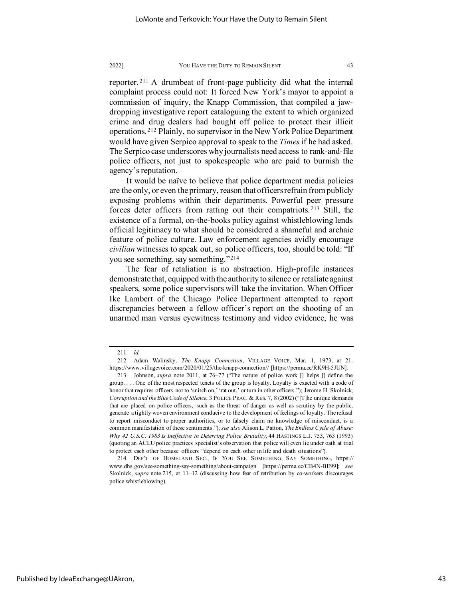reporter. [211](#page-43-0) A drumbeat of front-page publicity did what the internal complaint process could not: It forced New York's mayor to appoint a commission of inquiry, the Knapp Commission, that compiled a jawdropping investigative report cataloguing the extent to which organized crime and drug dealers had bought off police to protect their illicit operations. [212](#page-43-1) Plainly, no supervisor in the New York Police Department would have given Serpico approval to speak to the *Times* if he had asked. The Serpico case underscores why journalists need access to rank-and-file police officers, not just to spokespeople who are paid to burnish the agency's reputation.

It would be naïve to believe that police department media policies are the only, or even the primary, reason that officers refrain from publicly exposing problems within their departments. Powerful peer pressure forces deter officers from ratting out their compatriots. [213](#page-43-2) Still, the existence of a formal, on-the-books policy against whistleblowing lends official legitimacy to what should be considered a shameful and archaic feature of police culture. Law enforcement agencies avidly encourage *civilian* witnesses to speak out, so police officers, too, should be told: "If you see something, say something."[214](#page-43-3)

The fear of retaliation is no abstraction. High-profile instances demonstrate that, equipped with the authority to silence or retaliate against speakers, some police supervisors will take the invitation. When Officer Ike Lambert of the Chicago Police Department attempted to report discrepancies between a fellow officer's report on the shooting of an unarmed man versus eyewitness testimony and video evidence, he was

<sup>211</sup>*. Id.*

<span id="page-43-1"></span><span id="page-43-0"></span><sup>212.</sup> Adam Walinsky, *The Knapp Connection*, VILLAGE VOICE, Mar. 1, 1973, at 21. https://www.villagevoice.com/2020/01/25/the-knapp-connection// [https://perma.cc/RK9H-5JUN].

<span id="page-43-2"></span><sup>213.</sup> Johnson, *supra* note 2011, at 76–77 ("The nature of police work [] helps [] define the group. . . . One of the most respected tenets of the group is loyalty. Loyalty is exacted with a code of honor that requires officers not to 'snitch on,' 'rat out,' or turn in other officers."); Jerome H. Skolnick, *Corruption and the Blue Code of Silence*, 3 POLICE PRAC. & RES. 7, 8 (2002) ("[T]he unique demands that are placed on police officers, such as the threat of danger as well as scrutiny by the public, generate a tightly woven environment conducive to the development of feelings of loyalty. The refusal to report misconduct to proper authorities, or to falsely claim no knowledge of misconduct, is a common manifestation of these sentiments."); *see also* Alison L. Patton, *The Endless Cycle of Abuse: Why 42 U.S.C. 1983 Is Ineffective in Deterring Police Brutality*, 44 HASTINGS L.J. 753, 763 (1993) (quoting an ACLU police practices specialist's observation that police will even lie under oath at trial to protect each other because officers "depend on each other in life and death situations").

<span id="page-43-3"></span><sup>214.</sup> DEP'T OF HOMELAND SEC., IF YOU SEE SOMETHING, SAY SOMETHING, https:// www.dhs.gov/see-something-say-something/about-campaign [https://perma.cc/CB4N-BE99]; *see* Skolnick, *supra* note 215, at 11–12 (discussing how fear of retribution by co-workers discourages police whistleblowing).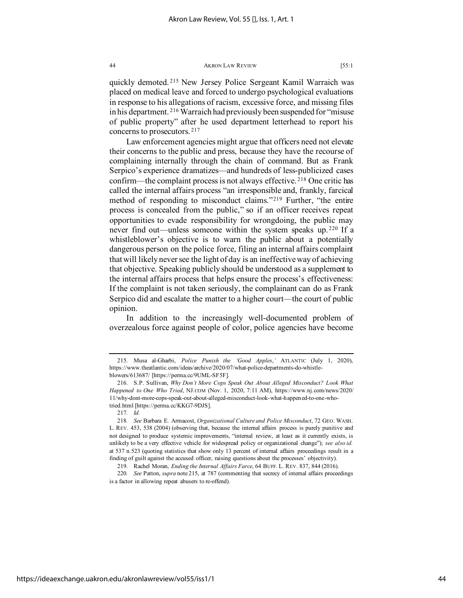quickly demoted. [215](#page-44-0) New Jersey Police Sergeant Kamil Warraich was placed on medical leave and forced to undergo psychological evaluations in response to his allegations of racism, excessive force, and missing files in his department. [216](#page-44-1) Warraich had previously been suspended for "misuse of public property" after he used department letterhead to report his concerns to prosecutors. [217](#page-44-2)

Law enforcement agencies might argue that officers need not elevate their concerns to the public and press, because they have the recourse of complaining internally through the chain of command. But as Frank Serpico's experience dramatizes—and hundreds of less-publicized cases confirm—the complaint process is not always effective. [218](#page-44-3) One critic has called the internal affairs process "an irresponsible and, frankly, farcical method of responding to misconduct claims."[219](#page-44-4) Further, "the entire process is concealed from the public," so if an officer receives repeat opportunities to evade responsibility for wrongdoing, the public may never find out—unless someone within the system speaks up. [220](#page-44-5) If a whistleblower's objective is to warn the public about a potentially dangerous person on the police force, filing an internal affairs complaint that will likely never see the light of day is an ineffective way of achieving that objective. Speaking publicly should be understood as a supplement to the internal affairs process that helps ensure the process's effectiveness: If the complaint is not taken seriously, the complainant can do as Frank Serpico did and escalate the matter to a higher court—the court of public opinion.

In addition to the increasingly well-documented problem of overzealous force against people of color, police agencies have become

<span id="page-44-0"></span><sup>215.</sup> Musa al-Gharbi, *Police Punish the 'Good Apples*,*'* ATLANTIC (July 1, 2020), https://www.theatlantic.com/ideas/archive/2020/07/what-police-departments-do-whistleblowers/613687/ [https://perma.cc/9UML-SF5F].

<span id="page-44-1"></span><sup>216.</sup> S.P. Sullivan, *Why Don't More Cops Speak Out About Alleged Misconduct? Look What Happened to One Who Tried*, NJ.COM (Nov. 1, 2020, 7:11 AM), https://www.nj.com/news/2020/ 11/why-dont-more-cops-speak-out-about-alleged-misconduct-look-what-happened-to-one-whotried.html [https://perma.cc/KKG7-9DJS].

<sup>217</sup>*. Id.*

<span id="page-44-3"></span><span id="page-44-2"></span><sup>218</sup>*. See* Barbara E. Armacost, *Organizational Culture and Police Misconduct*, 72 GEO. WASH. L. REV. 453, 538 (2004) (observing that, because the internal affairs process is purely punitive and not designed to produce systemic improvements, "internal review, at least as it currently exists, is unlikely to be a very effective vehicle for widespread policy or organizational change"); *see also id.* at 537 n.523 (quoting statistics that show only 13 percent of internal affairs proceedings result in a finding of guilt against the accused officer, raising questions about the processes' objectivity).

<sup>219.</sup> Rachel Moran, *Ending the Internal Affairs Farce*, 64 BUFF. L. REV. 837, 844 (2016).

<span id="page-44-5"></span><span id="page-44-4"></span><sup>220</sup>*. See* Patton, *supra* note 215, at 787 (commenting that secrecy of internal affairs proceedings is a factor in allowing repeat abusers to re-offend).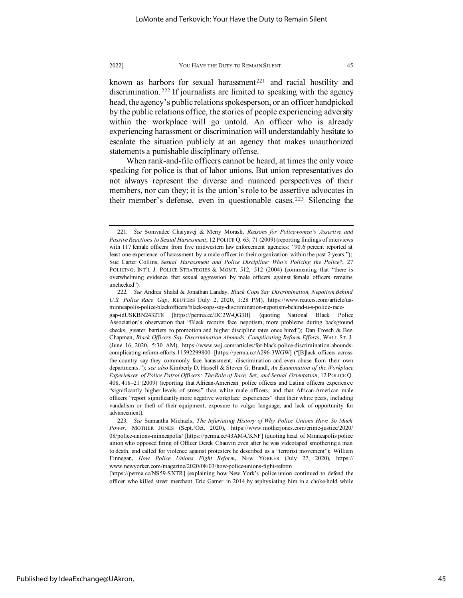known as harbors for sexual harassment<sup>[221](#page-45-0)</sup> and racial hostility and discrimination. [222](#page-45-1) If journalists are limited to speaking with the agency head, the agency's public relations spokesperson, or an officer handpicked by the public relations office, the stories of people experiencing adversity within the workplace will go untold. An officer who is already experiencing harassment or discrimination will understandably hesitate to escalate the situation publicly at an agency that makes unauthorized statements a punishable disciplinary offense.

When rank-and-file officers cannot be heard, at times the only voice speaking for police is that of labor unions. But union representatives do not always represent the diverse and nuanced perspectives of their members, nor can they; it is the union's role to be assertive advocates in their member's defense, even in questionable cases. [223](#page-45-2) Silencing the

[https://perma.cc/NS59-SXTR] (explaining how New York's police union continued to defend the officer who killed street merchant Eric Garner in 2014 by asphyxiating him in a choke-hold while

<span id="page-45-0"></span><sup>221</sup>*. See* Somvadee Chaiyavej & Merry Morash, *Reasons for Policewomen's Assertive and Passive Reactions to Sexual Harassment*, 12 POLICE Q. 63, 71 (2009) (reporting findings of interviews with 117 female officers from five midwestern law enforcement agencies: "90.6 percent reported at least one experience of harassment by a male officer in their organization within the past 2 years."); Sue Carter Collins, *Sexual Harassment and Police Discipline: Who's Policing the Police?*, 27 POLICING: INT'L J. POLICE STRATEGIES & MGMT. 512, 512 (2004) (commenting that "there is overwhelming evidence that sexual aggression by male officers against female officers remains unchecked").

<span id="page-45-1"></span><sup>222</sup>*. See* Andrea Shalal & Jonathan Landay, *Black Cops Say Discrimination, Nepotism Behind U.S. Police Race Gap*, REUTERS (July 2, 2020, 1:28 PM), https://www.reuters.com/article/usminneapolis-police-blackofficers/black-cops-say-discrimination-nepotism-behind-u-s-police-racegap-idUSKBN2432T8 [https://perma.cc/DC2W-QG3H] (quoting National Black Police Association's observation that "Black recruits face nepotism, more problems during background checks, greater barriers to promotion and higher discipline rates once hired"); Dan Frosch & Ben Chapman, *Black Officers Say Discrimination Abounds, Complicating Reform Efforts*, WALL ST. J. (June 16, 2020, 5:30 AM), https://www.wsj.com/articles/for-black-police-discrimination-aboundscomplicating-reform-efforts-11592299800 [https://perma.cc/A296-3WGW] ("[B]lack officers across the country say they commonly face harassment, discrimination and even abuse from their own departments."); *see also* Kimberly D. Hassell & Steven G. Brandl, *An Examination of the Workplace Experiences of Police Patrol Officers: The Role of Race, Sex, and Sexual Orientation*, 12 POLICE Q. 408, 418–21 (2009) (reporting that African-American police officers and Latina officers experience "significantly higher levels of stress" than white male officers, and that African-American male officers "report significantly more negative workplace experiences" than their white peers, including vandalism or theft of their equipment, exposure to vulgar language, and lack of opportunity for advancement).

<span id="page-45-2"></span><sup>223</sup>*. See* Samantha Michaels, *The Infuriating History of Why Police Unions Have So Much Power*, MOTHER JONES (Sept./Oct. 2020), https://www.motherjones.com/crime-justice/2020/ 08/police-unions-minneapolis/ [https://perma.cc/43AM-CKNF] (quoting head of Minneapolis police union who opposed firing of Officer Derek Chauvin even after he was videotaped smothering a man to death, and called for violence against protesters he described as a "terrorist movement"); William Finnegan, *How Police Unions Fight Reform*, NEW YORKER (July 27, 2020), https:// www.newyorker.com/magazine/2020/08/03/how-police-unions-fight-reform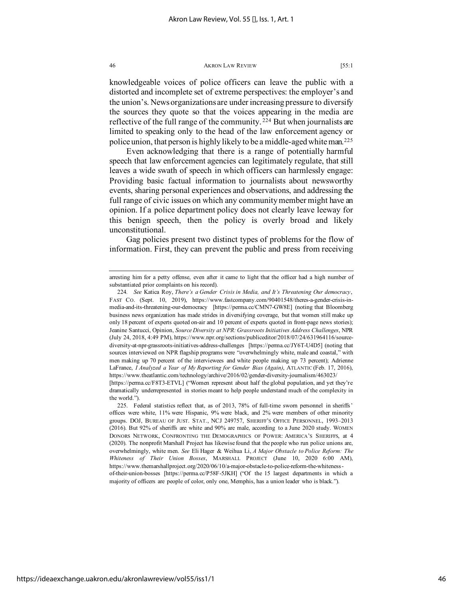knowledgeable voices of police officers can leave the public with a distorted and incomplete set of extreme perspectives: the employer's and the union's. News organizations are under increasing pressure to diversify the sources they quote so that the voices appearing in the media are reflective of the full range of the community.<sup>[224](#page-46-0)</sup> But when journalists are limited to speaking only to the head of the law enforcement agency or police union, that person is highly likely to be a middle-aged white man.[225](#page-46-1)

Even acknowledging that there is a range of potentially harmful speech that law enforcement agencies can legitimately regulate, that still leaves a wide swath of speech in which officers can harmlessly engage: Providing basic factual information to journalists about newsworthy events, sharing personal experiences and observations, and addressing the full range of civic issues on which any community member might have an opinion. If a police department policy does not clearly leave leeway for this benign speech, then the policy is overly broad and likely unconstitutional.

Gag policies present two distinct types of problems for the flow of information. First, they can prevent the public and press from receiving

arresting him for a petty offense, even after it came to light that the officer had a high number of substantiated prior complaints on his record).

<span id="page-46-0"></span><sup>224</sup>*. See* Katica Roy, *There's a Gender Crisis in Media, and It's Threatening Our democracy*, FAST CO. (Sept. 10, 2019), https://www.fastcompany.com/90401548/theres-a-gender-crisis-inmedia-and-its-threatening-our-democracy [https://perma.cc/CMN7-GW8E] (noting that Bloomberg business news organization has made strides in diversifying coverage, but that women still make up only 18 percent of experts quoted on-air and 10 percent of experts quoted in front-page news stories); Jeanine Santucci, Opinion, *Source Diversity at NPR: Grassroots Initiatives Address Challenges*, NPR (July 24, 2018, 4:49 PM), https://www.npr.org/sections/publiceditor/2018/07/24/631964116/sourcediversity-at-npr-grassroots-initiatives-address-challenges [https://perma.cc/JY6T-U4D5] (noting that sources interviewed on NPR flagship programs were "overwhelmingly white, male and coastal," with men making up 70 percent of the interviewees and white people making up 73 percent); Adrienne LaFrance, *I Analyzed a Year of My Reporting for Gender Bias (Again)*, ATLANTIC (Feb. 17, 2016), https://www.theatlantic.com/technology/archive/2016/02/gender-diversity-journalism/463023/

<sup>[</sup>https://perma.cc/F8T3-ETVL] ("Women represent about half the global population, and yet they're dramatically underrepresented in stories meant to help people understand much of the complexity in the world.").

<span id="page-46-1"></span><sup>225.</sup> Federal statistics reflect that, as of 2013, 78% of full-time sworn personnel in sheriffs' offices were white, 11% were Hispanic, 9% were black, and 2% were members of other minority groups. DOJ, BUREAU OF JUST. STAT., NCJ 249757, SHERIFF'S OFFICE PERSONNEL, 1993–2013 (2016). But 92% of sheriffs are white and 90% are male, according to a June 2020 study. WOMEN DONORS NETWORK, CONFRONTING THE DEMOGRAPHICS OF POWER: AMERICA'S SHERIFFS, at 4 (2020). The nonprofit Marshall Project has likewise found that the people who run police unions are, overwhelmingly, white men. *See* Eli Hager & Weihua Li, *A Major Obstacle to Police Reform: The Whiteness of Their Union Bosses*, MARSHALL PROJECT (June 10, 2020 6:00 AM), https://www.themarshallproject.org/2020/06/10/a-major-obstacle-to-police-reform-the-whitenessof-their-union-bosses [https://perma.cc/P58F-5JKH] ("Of the 15 largest departments in which a majority of officers are people of color, only one, Memphis, has a union leader who is black.").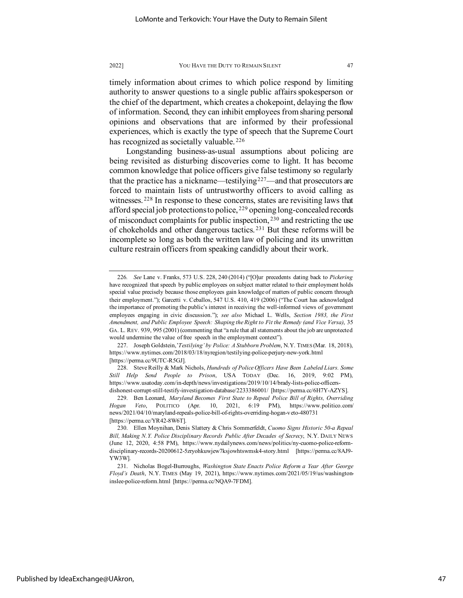timely information about crimes to which police respond by limiting authority to answer questions to a single public affairs spokesperson or the chief of the department, which creates a chokepoint, delaying the flow of information. Second, they can inhibit employees from sharing personal opinions and observations that are informed by their professional experiences, which is exactly the type of speech that the Supreme Court has recognized as societally valuable.<sup>[226](#page-47-0)</sup>

Longstanding business-as-usual assumptions about policing are being revisited as disturbing discoveries come to light. It has become common knowledge that police officers give false testimony so regularly that the practice has a nickname—testilying<sup>227</sup>—and that prosecutors are forced to maintain lists of untrustworthy officers to avoid calling as witnesses.<sup>[228](#page-47-2)</sup> In response to these concerns, states are revisiting laws that afford special job protections to police, <sup>[229](#page-47-3)</sup> opening long-concealed records of misconduct complaints for public inspection, [230](#page-47-4) and restricting the use of chokeholds and other dangerous tactics. [231](#page-47-5) But these reforms will be incomplete so long as both the written law of policing and its unwritten culture restrain officers from speaking candidly about their work.

<span id="page-47-0"></span><sup>226</sup>*. See* Lane v. Franks, 573 U.S. 228, 240 (2014) ("[O]ur precedents dating back to *Pickering* have recognized that speech by public employees on subject matter related to their employment holds special value precisely because those employees gain knowledge of matters of public concern through their employment."); Garcetti v. Ceballos, 547 U.S. 410, 419 (2006) ("The Court has acknowledged the importance of promoting the public's interest in receiving the well-informed views of government employees engaging in civic discussion."); *see also* Michael L. Wells, *Section 1983, the First Amendment, and Public Employee Speech: Shaping the Right to Fit the Remedy (and Vice Versa)*, 35 GA. L. REV. 939, 995 (2001) (commenting that "a rule that all statements about the job are unprotected would undermine the value of free speech in the employment context").

<span id="page-47-1"></span><sup>227.</sup> Joseph Goldstein,'*Testilying' by Police: A Stubborn Problem*, N.Y. TIMES (Mar. 18, 2018), https://www.nytimes.com/2018/03/18/nyregion/testilying-police-perjury-new-york.html [https://perma.cc/9UTC-R5GJ].

<span id="page-47-2"></span><sup>228.</sup> Steve Reilly & Mark Nichols, *Hundreds of Police Officers Have Been Labeled Liars. Some Still Help Send People to Prison*, USA TODAY (Dec. 16, 2019, 9:02 PM), https://www.usatoday.com/in-depth/news/investigations/2019/10/14/brady-lists-police-officersdishonest-corrupt-still-testify-investigation-database/2233386001/ [https://perma.cc/6H7Y-AZYS].

<span id="page-47-3"></span><sup>229.</sup> Ben Leonard, *Maryland Becomes First State to Repeal Police Bill of Rights, Overriding Hogan Veto*, POLITICO (Apr. 10, 2021, 6:19 PM), https://www.politico.com/ news/2021/04/10/maryland-repeals-police-bill-of-rights-overriding-hogan-veto-480731 [https://perma.cc/YR42-8W6T].

<span id="page-47-4"></span><sup>230.</sup> Ellen Moynihan, Denis Slattery & Chris Sommerfeldt, *Cuomo Signs Historic 50-a Repeal Bill, Making N.Y. Police Disciplinary Records Public After Decades of Secrecy*, N.Y. DAILY NEWS (June 12, 2020, 4:58 PM), https://www.nydailynews.com/news/politics/ny-cuomo-police-reformdisciplinary-records-20200612-5zryohkuwjew7ksjowhtswmsk4-story.html [https://perma.cc/8AJ9- YW3W].

<span id="page-47-5"></span><sup>231.</sup> Nicholas Bogel-Burroughs, *Washington State Enacts Police Reform a Year After George Floyd's Death*, N.Y. TIMES (May 19, 2021), https://www.nytimes.com/2021/05/19/us/washingtoninslee-police-reform.html [https://perma.cc/NQA9-7FDM].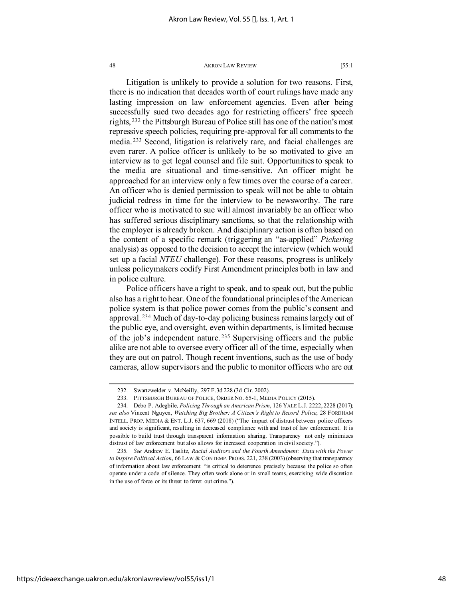Litigation is unlikely to provide a solution for two reasons. First, there is no indication that decades worth of court rulings have made any lasting impression on law enforcement agencies. Even after being successfully sued two decades ago for restricting officers' free speech rights, [232](#page-48-0) the Pittsburgh Bureau of Police still has one of the nation's most repressive speech policies, requiring pre-approval for all comments to the media. [233](#page-48-1) Second, litigation is relatively rare, and facial challenges are even rarer. A police officer is unlikely to be so motivated to give an interview as to get legal counsel and file suit. Opportunities to speak to the media are situational and time-sensitive. An officer might be approached for an interview only a few times over the course of a career. An officer who is denied permission to speak will not be able to obtain judicial redress in time for the interview to be newsworthy. The rare officer who is motivated to sue will almost invariably be an officer who has suffered serious disciplinary sanctions, so that the relationship with the employer is already broken. And disciplinary action is often based on the content of a specific remark (triggering an "as-applied" *Pickering* analysis) as opposed to the decision to accept the interview (which would set up a facial *NTEU* challenge). For these reasons, progress is unlikely unless policymakers codify First Amendment principles both in law and in police culture.

Police officers have a right to speak, and to speak out, but the public also has a right to hear. One of the foundational principles of the American police system is that police power comes from the public's consent and approval. [234](#page-48-2) Much of day-to-day policing business remains largely out of the public eye, and oversight, even within departments, is limited because of the job's independent nature. [235](#page-48-3) Supervising officers and the public alike are not able to oversee every officer all of the time, especially when they are out on patrol. Though recent inventions, such as the use of body cameras, allow supervisors and the public to monitor officers who are out

<sup>232.</sup> Swartzwelder v. McNeilly, 297 F.3d 228 (3d Cir. 2002).

<sup>233.</sup> PITTSBURGH BUREAU OF POLICE, ORDER NO. 65-1, MEDIA POLICY (2015).

<span id="page-48-2"></span><span id="page-48-1"></span><span id="page-48-0"></span><sup>234.</sup> Debo P. Adegbile, *Policing Through an American Prism*, 126 YALE L.J. 2222, 2228 (2017); *see also* Vincent Nguyen, *Watching Big Brother: A Citizen's Right to Record Police*, 28 FORDHAM INTELL. PROP. MEDIA & ENT. L.J. 637, 669 (2018) ("The impact of distrust between police officers and society is significant, resulting in decreased compliance with and trust of law enforcement. It is possible to build trust through transparent information sharing. Transparency not only minimizes distrust of law enforcement but also allows for increased cooperation in civil society.").

<span id="page-48-3"></span><sup>235</sup>*. See* Andrew E. Taslitz, *Racial Auditors and the Fourth Amendment: Data with the Power to Inspire Political Action*, 66 LAW & CONTEMP. PROBS. 221, 238 (2003) (observing that transparency of information about law enforcement "is critical to deterrence precisely because the police so often operate under a code of silence. They often work alone or in small teams, exercising wide discretion in the use of force or its threat to ferret out crime.").